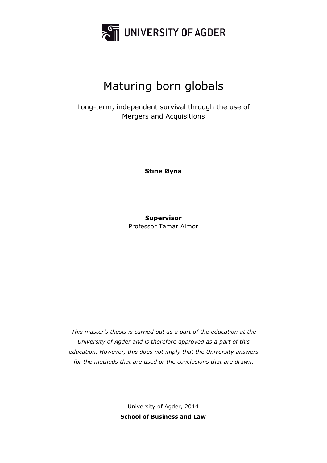

# Maturing born globals

Long-term, independent survival through the use of Mergers and Acquisitions

**Stine Øyna**

**Supervisor** Professor Tamar Almor

*This master's thesis is carried out as a part of the education at the University of Agder and is therefore approved as a part of this education. However, this does not imply that the University answers for the methods that are used or the conclusions that are drawn.*

> University of Agder, 2014 **School of Business and Law**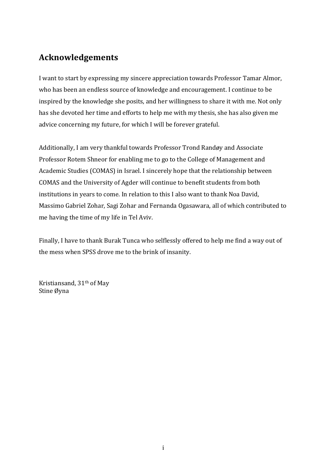## **Acknowledgements**

I want to start by expressing my sincere appreciation towards Professor Tamar Almor, who has been an endless source of knowledge and encouragement. I continue to be inspired by the knowledge she posits, and her willingness to share it with me. Not only has she devoted her time and efforts to help me with my thesis, she has also given me advice concerning my future, for which I will be forever grateful.

Additionally, I am very thankful towards Professor Trond Randøy and Associate Professor Rotem Shneor for enabling me to go to the College of Management and Academic Studies (COMAS) in Israel. I sincerely hope that the relationship between COMAS and the University of Agder will continue to benefit students from both institutions in years to come. In relation to this I also want to thank Noa David, Massimo Gabriel Zohar, Sagi Zohar and Fernanda Ogasawara, all of which contributed to me having the time of my life in Tel Aviv.

Finally, I have to thank Burak Tunca who selflessly offered to help me find a way out of the mess when SPSS drove me to the brink of insanity.

Kristiansand, 31<sup>th</sup> of May Stine Øyna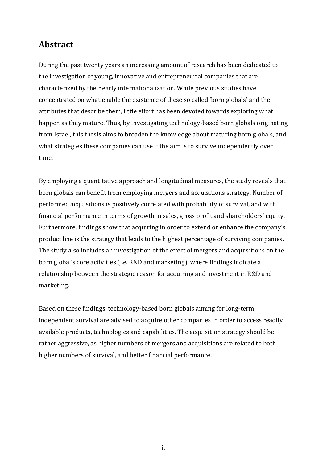## **Abstract**

During the past twenty years an increasing amount of research has been dedicated to the investigation of young, innovative and entrepreneurial companies that are characterized by their early internationalization. While previous studies have concentrated on what enable the existence of these so called 'born globals' and the attributes that describe them, little effort has been devoted towards exploring what happen as they mature. Thus, by investigating technology-based born globals originating from Israel, this thesis aims to broaden the knowledge about maturing born globals, and what strategies these companies can use if the aim is to survive independently over time. 

By employing a quantitative approach and longitudinal measures, the study reveals that born globals can benefit from employing mergers and acquisitions strategy. Number of performed acquisitions is positively correlated with probability of survival, and with financial performance in terms of growth in sales, gross profit and shareholders' equity. Furthermore, findings show that acquiring in order to extend or enhance the company's product line is the strategy that leads to the highest percentage of surviving companies. The study also includes an investigation of the effect of mergers and acquisitions on the born global's core activities (i.e. R&D and marketing), where findings indicate a relationship between the strategic reason for acquiring and investment in R&D and marketing.

Based on these findings, technology-based born globals aiming for long-term independent survival are advised to acquire other companies in order to access readily available products, technologies and capabilities. The acquisition strategy should be rather aggressive, as higher numbers of mergers and acquisitions are related to both higher numbers of survival, and better financial performance.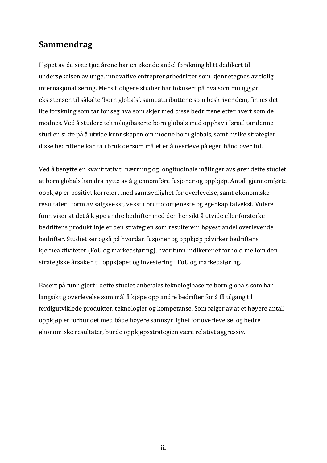## **Sammendrag**

I løpet av de siste tjue årene har en økende andel forskning blitt dedikert til undersøkelsen av unge, innovative entreprenørbedrifter som kjennetegnes av tidlig internasjonalisering. Mens tidligere studier har fokusert på hva som muliggjør eksistensen til såkalte 'born globals', samt attributtene som beskriver dem, finnes det lite forskning som tar for seg hva som skjer med disse bedriftene etter hvert som de modnes. Ved å studere teknologibaserte born globals med opphav i Israel tar denne studien sikte på å utvide kunnskapen om modne born globals, samt hvilke strategier disse bedriftene kan ta i bruk dersom målet er å overleve på egen hånd over tid.

Ved å benytte en kvantitativ tilnærming og longitudinale målinger avslører dette studiet at born globals kan dra nytte av å gjennomføre fusjoner og oppkjøp. Antall gjennomførte oppkjøp er positivt korrelert med sannsynlighet for overlevelse, samt økonomiske resultater i form av salgsvekst, vekst i bruttofortjeneste og egenkapitalvekst. Videre funn viser at det å kjøpe andre bedrifter med den hensikt å utvide eller forsterke bedriftens produktlinje er den strategien som resulterer i høyest andel overlevende bedrifter. Studiet ser også på hvordan fusjoner og oppkjøp påvirker bedriftens kjerneaktiviteter (FoU og markedsføring), hvor funn indikerer et forhold mellom den strategiske årsaken til oppkjøpet og investering i FoU og markedsføring.

Basert på funn gjort i dette studiet anbefales teknologibaserte born globals som har langsiktig overlevelse som mål å kjøpe opp andre bedrifter for å få tilgang til ferdigutviklede produkter, teknologier og kompetanse. Som følger av at et høyere antall oppkjøp er forbundet med både høyere sannsynlighet for overlevelse, og bedre økonomiske resultater, burde oppkjøpsstrategien være relativt aggressiv.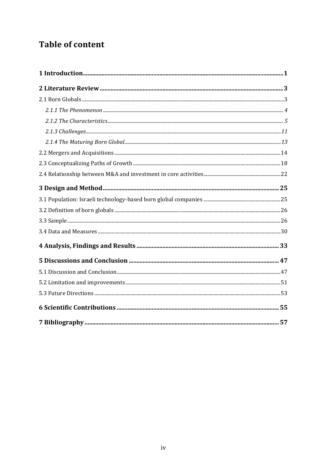## **Table of content**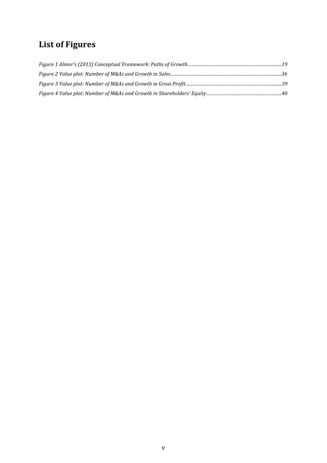## **List of Figures**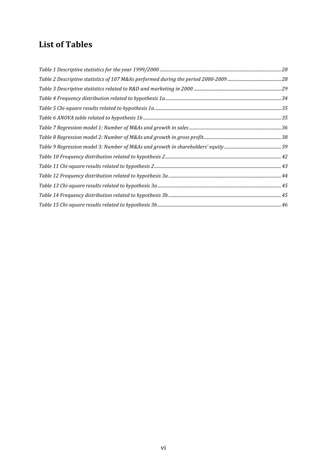## List of Tables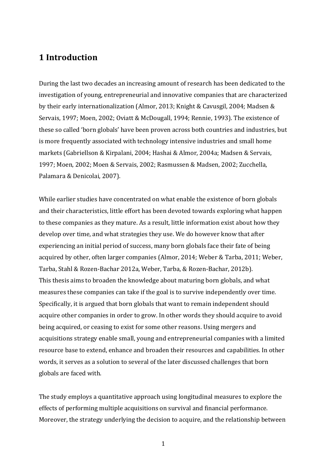## **1 Introduction**

During the last two decades an increasing amount of research has been dedicated to the investigation of young, entrepreneurial and innovative companies that are characterized by their early internationalization (Almor, 2013; Knight & Cavusgil, 2004; Madsen & Servais, 1997; Moen, 2002; Oviatt & McDougall, 1994; Rennie, 1993). The existence of these so called 'born globals' have been proven across both countries and industries, but is more frequently associated with technology intensive industries and small home markets (Gabriellson & Kirpalani, 2004; Hashai & Almor, 2004a; Madsen & Servais, 1997; Moen, 2002; Moen & Servais, 2002; Rasmussen & Madsen, 2002; Zucchella, Palamara & Denicolai, 2007).

While earlier studies have concentrated on what enable the existence of born globals and their characteristics, little effort has been devoted towards exploring what happen to these companies as they mature. As a result, little information exist about how they develop over time, and what strategies they use. We do however know that after experiencing an initial period of success, many born globals face their fate of being acquired by other, often larger companies (Almor, 2014; Weber & Tarba, 2011; Weber, Tarba, Stahl & Rozen-Bachar 2012a, Weber, Tarba, & Rozen-Bachar, 2012b). This thesis aims to broaden the knowledge about maturing born globals, and what measures these companies can take if the goal is to survive independently over time. Specifically, it is argued that born globals that want to remain independent should acquire other companies in order to grow. In other words they should acquire to avoid being acquired, or ceasing to exist for some other reasons. Using mergers and acquisitions strategy enable small, young and entrepreneurial companies with a limited resource base to extend, enhance and broaden their resources and capabilities. In other words, it serves as a solution to several of the later discussed challenges that born globals are faced with.

The study employs a quantitative approach using longitudinal measures to explore the effects of performing multiple acquisitions on survival and financial performance. Moreover, the strategy underlying the decision to acquire, and the relationship between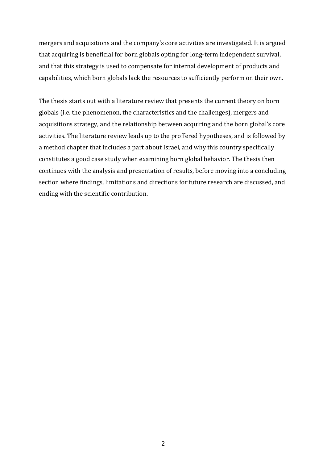mergers and acquisitions and the company's core activities are investigated. It is argued that acquiring is beneficial for born globals opting for long-term independent survival, and that this strategy is used to compensate for internal development of products and capabilities, which born globals lack the resources to sufficiently perform on their own.

The thesis starts out with a literature review that presents the current theory on born globals (i.e. the phenomenon, the characteristics and the challenges), mergers and acquisitions strategy, and the relationship between acquiring and the born global's core activities. The literature review leads up to the proffered hypotheses, and is followed by a method chapter that includes a part about Israel, and why this country specifically constitutes a good case study when examining born global behavior. The thesis then continues with the analysis and presentation of results, before moving into a concluding section where findings, limitations and directions for future research are discussed, and ending with the scientific contribution.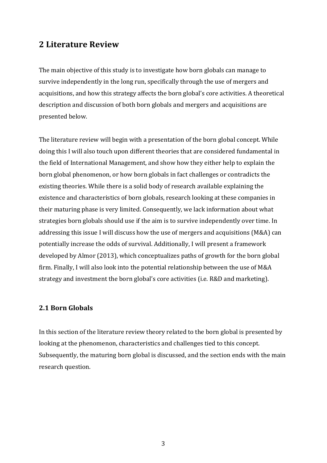### **2 Literature Review**

The main objective of this study is to investigate how born globals can manage to survive independently in the long run, specifically through the use of mergers and acquisitions, and how this strategy affects the born global's core activities. A theoretical description and discussion of both born globals and mergers and acquisitions are presented below.

The literature review will begin with a presentation of the born global concept. While doing this I will also touch upon different theories that are considered fundamental in the field of International Management, and show how they either help to explain the born global phenomenon, or how born globals in fact challenges or contradicts the existing theories. While there is a solid body of research available explaining the existence and characteristics of born globals, research looking at these companies in their maturing phase is very limited. Consequently, we lack information about what strategies born globals should use if the aim is to survive independently over time. In addressing this issue I will discuss how the use of mergers and acquisitions (M&A) can potentially increase the odds of survival. Additionally, I will present a framework developed by Almor (2013), which conceptualizes paths of growth for the born global firm. Finally, I will also look into the potential relationship between the use of M&A strategy and investment the born global's core activities (i.e. R&D and marketing).

#### **2.1 Born Globals**

In this section of the literature review theory related to the born global is presented by looking at the phenomenon, characteristics and challenges tied to this concept. Subsequently, the maturing born global is discussed, and the section ends with the main research question.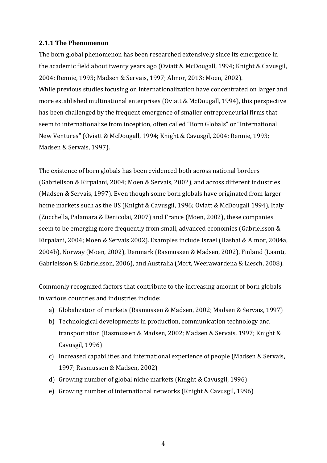#### **2.1.1 The Phenomenon**

The born global phenomenon has been researched extensively since its emergence in the academic field about twenty years ago (Oviatt & McDougall, 1994; Knight & Cavusgil, 2004; Rennie, 1993; Madsen & Servais, 1997; Almor, 2013; Moen, 2002). While previous studies focusing on internationalization have concentrated on larger and more established multinational enterprises (Oviatt & McDougall, 1994), this perspective has been challenged by the frequent emergence of smaller entrepreneurial firms that seem to internationalize from inception, often called "Born Globals" or "International New Ventures" (Oviatt & McDougall, 1994; Knight & Cavusgil, 2004; Rennie, 1993; Madsen & Servais, 1997).

The existence of born globals has been evidenced both across national borders (Gabriellson & Kirpalani, 2004; Moen & Servais, 2002), and across different industries (Madsen & Servais, 1997). Even though some born globals have originated from larger home markets such as the US (Knight & Cavusgil, 1996; Oviatt & McDougall 1994), Italy (Zucchella, Palamara & Denicolai, 2007) and France (Moen, 2002), these companies seem to be emerging more frequently from small, advanced economies (Gabrielsson & Kirpalani, 2004; Moen & Servais 2002). Examples include Israel (Hashai & Almor, 2004a, 2004b), Norway (Moen, 2002), Denmark (Rasmussen & Madsen, 2002), Finland (Laanti, Gabrielsson & Gabrielsson, 2006), and Australia (Mort, Weerawardena & Liesch, 2008).

Commonly recognized factors that contribute to the increasing amount of born globals in various countries and industries include:

- a) Globalization of markets (Rasmussen & Madsen, 2002; Madsen & Servais, 1997)
- b) Technological developments in production, communication technology and transportation (Rasmussen & Madsen, 2002; Madsen & Servais, 1997; Knight & Cavusgil, 1996)
- c) Increased capabilities and international experience of people (Madsen & Servais, 1997; Rasmussen & Madsen, 2002)
- d) Growing number of global niche markets (Knight & Cavusgil, 1996)
- e) Growing number of international networks (Knight & Cavusgil, 1996)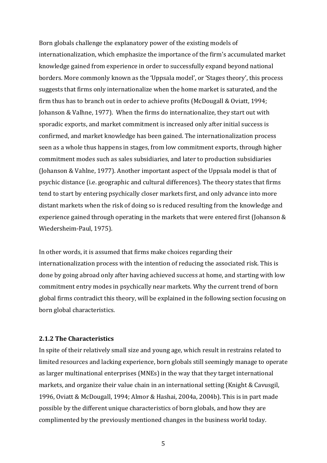Born globals challenge the explanatory power of the existing models of internationalization, which emphasize the importance of the firm's accumulated market knowledge gained from experience in order to successfully expand beyond national borders. More commonly known as the 'Uppsala model', or 'Stages theory', this process suggests that firms only internationalize when the home market is saturated, and the firm thus has to branch out in order to achieve profits (McDougall & Oviatt, 1994; Johanson & Valhne, 1977). When the firms do internationalize, they start out with sporadic exports, and market commitment is increased only after initial success is confirmed, and market knowledge has been gained. The internationalization process seen as a whole thus happens in stages, from low commitment exports, through higher commitment modes such as sales subsidiaries, and later to production subsidiaries (Johanson & Vahlne, 1977). Another important aspect of the Uppsala model is that of psychic distance (i.e. geographic and cultural differences). The theory states that firms tend to start by entering psychically closer markets first, and only advance into more distant markets when the risk of doing so is reduced resulting from the knowledge and experience gained through operating in the markets that were entered first (Johanson & Wiedersheim-Paul, 1975).

In other words, it is assumed that firms make choices regarding their internationalization process with the intention of reducing the associated risk. This is done by going abroad only after having achieved success at home, and starting with low commitment entry modes in psychically near markets. Why the current trend of born global firms contradict this theory, will be explained in the following section focusing on born global characteristics.

#### **2.1.2 The Characteristics**

In spite of their relatively small size and young age, which result in restrains related to limited resources and lacking experience, born globals still seemingly manage to operate as larger multinational enterprises (MNEs) in the way that they target international markets, and organize their value chain in an international setting (Knight & Cavusgil, 1996, Oviatt & McDougall, 1994; Almor & Hashai, 2004a, 2004b). This is in part made possible by the different unique characteristics of born globals, and how they are complimented by the previously mentioned changes in the business world today.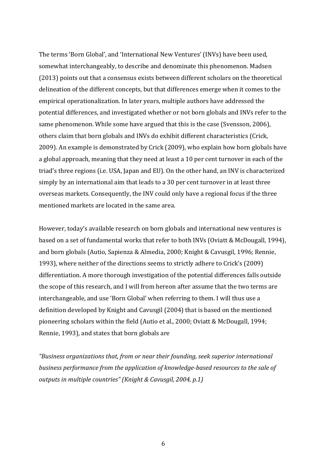The terms 'Born Global', and 'International New Ventures' (INVs) have been used, somewhat interchangeably, to describe and denominate this phenomenon. Madsen (2013) points out that a consensus exists between different scholars on the theoretical delineation of the different concepts, but that differences emerge when it comes to the empirical operationalization. In later years, multiple authors have addressed the potential differences, and investigated whether or not born globals and INVs refer to the same phenomenon. While some have argued that this is the case (Svensson, 2006), others claim that born globals and INVs do exhibit different characteristics (Crick, 2009). An example is demonstrated by Crick (2009), who explain how born globals have a global approach, meaning that they need at least a 10 per cent turnover in each of the triad's three regions (i.e. USA, Japan and EU). On the other hand, an INV is characterized simply by an international aim that leads to a 30 per cent turnover in at least three overseas markets. Consequently, the INV could only have a regional focus if the three mentioned markets are located in the same area.

However, today's available research on born globals and international new ventures is based on a set of fundamental works that refer to both INVs (Oviatt & McDougall, 1994), and born globals (Autio, Sapienza & Almedia, 2000; Knight & Cavusgil, 1996; Rennie, 1993), where neither of the directions seems to strictly adhere to Crick's (2009) differentiation. A more thorough investigation of the potential differences falls outside the scope of this research, and I will from hereon after assume that the two terms are interchangeable, and use 'Born Global' when referring to them. I will thus use a definition developed by Knight and Cavusgil (2004) that is based on the mentioned pioneering scholars within the field (Autio et al., 2000; Oviatt & McDougall, 1994; Rennie, 1993), and states that born globals are

"Business organizations that, from or near their founding, seek superior international *business performance from the application of knowledge-based resources to the sale of outputs in multiple countries" (Knight & Cavusgil, 2004, p.1)*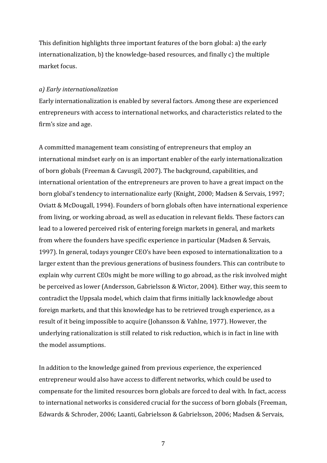This definition highlights three important features of the born global: a) the early internationalization, b) the knowledge-based resources, and finally c) the multiple market focus.

#### *a) Early internationalization*

Early internationalization is enabled by several factors. Among these are experienced entrepreneurs with access to international networks, and characteristics related to the firm's size and age.

A committed management team consisting of entrepreneurs that employ an international mindset early on is an important enabler of the early internationalization of born globals (Freeman & Cavusgil, 2007). The background, capabilities, and international orientation of the entrepreneurs are proven to have a great impact on the born global's tendency to internationalize early (Knight, 2000; Madsen & Servais, 1997; Oviatt & McDougall, 1994). Founders of born globals often have international experience from living, or working abroad, as well as education in relevant fields. These factors can lead to a lowered perceived risk of entering foreign markets in general, and markets from where the founders have specific experience in particular (Madsen & Servais, 1997). In general, todays younger CEO's have been exposed to internationalization to a larger extent than the previous generations of business founders. This can contribute to explain why current CEOs might be more willing to go abroad, as the risk involved might be perceived as lower (Andersson, Gabrielsson & Wictor, 2004). Either way, this seem to contradict the Uppsala model, which claim that firms initially lack knowledge about foreign markets, and that this knowledge has to be retrieved trough experience, as a result of it being impossible to acquire (Johansson & Vahlne, 1977). However, the underlying rationalization is still related to risk reduction, which is in fact in line with the model assumptions.

In addition to the knowledge gained from previous experience, the experienced entrepreneur would also have access to different networks, which could be used to compensate for the limited resources born globals are forced to deal with. In fact, access to international networks is considered crucial for the success of born globals (Freeman, Edwards & Schroder, 2006; Laanti, Gabrielsson & Gabrielsson, 2006; Madsen & Servais,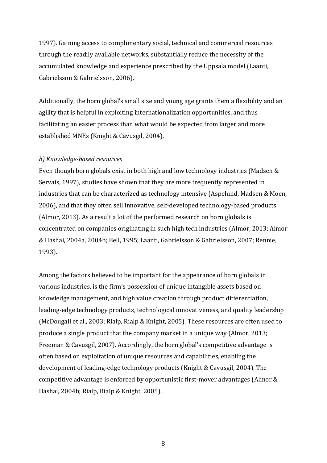1997). Gaining access to complimentary social, technical and commercial resources through the readily available networks, substantially reduce the necessity of the accumulated knowledge and experience prescribed by the Uppsala model (Laanti, Gabrielsson & Gabrielsson, 2006).

Additionally, the born global's small size and young age grants them a flexibility and an agility that is helpful in exploiting internationalization opportunities, and thus facilitating an easier process than what would be expected from larger and more established MNEs (Knight & Cavusgil, 2004).

#### *b) Knowledge-based resources*

Even though born globals exist in both high and low technology industries (Madsen  $&$ Servais, 1997), studies have shown that they are more frequently represented in industries that can be characterized as technology intensive (Aspelund, Madsen & Moen, 2006), and that they often sell innovative, self-developed technology-based products (Almor, 2013). As a result a lot of the performed research on born globals is concentrated on companies originating in such high tech industries (Almor, 2013; Almor & Hashai, 2004a, 2004b; Bell, 1995; Laanti, Gabrielsson & Gabrielsson, 2007; Rennie, 1993).

Among the factors believed to be important for the appearance of born globals in various industries, is the firm's possession of unique intangible assets based on knowledge management, and high value creation through product differentiation, leading-edge technology products, technological innovativeness, and quality leadership (McDougall et al., 2003; Rialp, Rialp & Knight, 2005). These resources are often used to produce a single product that the company market in a unique way (Almor, 2013; Freeman & Cavusgil, 2007). Accordingly, the born global's competitive advantage is often based on exploitation of unique resources and capabilities, enabling the development of leading-edge technology products (Knight & Cavusgil, 2004). The competitive advantage is enforced by opportunistic first-mover advantages (Almor & Hashai, 2004b; Rialp, Rialp & Knight, 2005).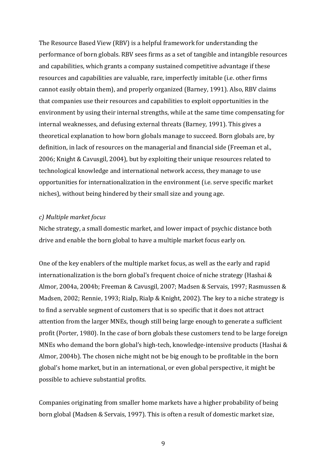The Resource Based View (RBV) is a helpful framework for understanding the performance of born globals. RBV sees firms as a set of tangible and intangible resources and capabilities, which grants a company sustained competitive advantage if these resources and capabilities are valuable, rare, imperfectly imitable (i.e. other firms cannot easily obtain them), and properly organized (Barney, 1991). Also, RBV claims that companies use their resources and capabilities to exploit opportunities in the environment by using their internal strengths, while at the same time compensating for internal weaknesses, and defusing external threats (Barney, 1991). This gives a theoretical explanation to how born globals manage to succeed. Born globals are, by definition, in lack of resources on the managerial and financial side (Freeman et al., 2006; Knight & Cavusgil, 2004), but by exploiting their unique resources related to technological knowledge and international network access, they manage to use opportunities for internationalization in the environment (i.e. serve specific market niches), without being hindered by their small size and young age.

#### *c) Multiple market focus*

Niche strategy, a small domestic market, and lower impact of psychic distance both drive and enable the born global to have a multiple market focus early on.

One of the key enablers of the multiple market focus, as well as the early and rapid internationalization is the born global's frequent choice of niche strategy (Hashai  $&$ Almor, 2004a, 2004b; Freeman & Cavusgil, 2007; Madsen & Servais, 1997; Rasmussen & Madsen, 2002; Rennie, 1993; Rialp, Rialp & Knight, 2002). The key to a niche strategy is to find a servable segment of customers that is so specific that it does not attract attention from the larger MNEs, though still being large enough to generate a sufficient profit (Porter, 1980). In the case of born globals these customers tend to be large foreign MNEs who demand the born global's high-tech, knowledge-intensive products (Hashai  $&$ Almor, 2004b). The chosen niche might not be big enough to be profitable in the born global's home market, but in an international, or even global perspective, it might be possible to achieve substantial profits.

Companies originating from smaller home markets have a higher probability of being born global (Madsen & Servais, 1997). This is often a result of domestic market size,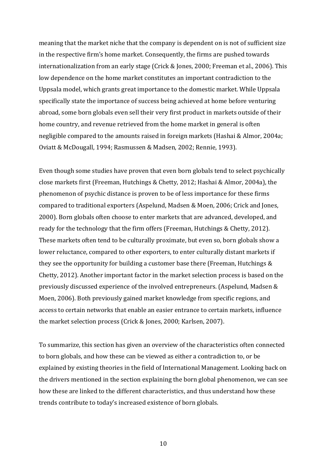meaning that the market niche that the company is dependent on is not of sufficient size in the respective firm's home market. Consequently, the firms are pushed towards internationalization from an early stage (Crick  $&$  Jones, 2000; Freeman et al., 2006). This low dependence on the home market constitutes an important contradiction to the Uppsala model, which grants great importance to the domestic market. While Uppsala specifically state the importance of success being achieved at home before venturing abroad, some born globals even sell their very first product in markets outside of their home country, and revenue retrieved from the home market in general is often negligible compared to the amounts raised in foreign markets (Hashai & Almor, 2004a; Oviatt & McDougall, 1994; Rasmussen & Madsen, 2002; Rennie, 1993).

Even though some studies have proven that even born globals tend to select psychically close markets first (Freeman, Hutchings & Chetty, 2012; Hashai & Almor, 2004a), the phenomenon of psychic distance is proven to be of less importance for these firms compared to traditional exporters (Aspelund, Madsen & Moen, 2006; Crick and Jones, 2000). Born globals often choose to enter markets that are advanced, developed, and ready for the technology that the firm offers (Freeman, Hutchings & Chetty, 2012). These markets often tend to be culturally proximate, but even so, born globals show a lower reluctance, compared to other exporters, to enter culturally distant markets if they see the opportunity for building a customer base there (Freeman, Hutchings  $&$ Chetty, 2012). Another important factor in the market selection process is based on the previously discussed experience of the involved entrepreneurs. (Aspelund, Madsen & Moen, 2006). Both previously gained market knowledge from specific regions, and access to certain networks that enable an easier entrance to certain markets, influence the market selection process (Crick & Jones, 2000; Karlsen, 2007).

To summarize, this section has given an overview of the characteristics often connected to born globals, and how these can be viewed as either a contradiction to, or be explained by existing theories in the field of International Management. Looking back on the drivers mentioned in the section explaining the born global phenomenon, we can see how these are linked to the different characteristics, and thus understand how these trends contribute to today's increased existence of born globals.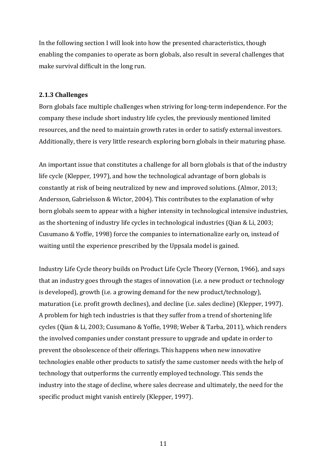In the following section I will look into how the presented characteristics, though enabling the companies to operate as born globals, also result in several challenges that make survival difficult in the long run.

#### **2.1.3 Challenges**

Born globals face multiple challenges when striving for long-term independence. For the company these include short industry life cycles, the previously mentioned limited resources, and the need to maintain growth rates in order to satisfy external investors. Additionally, there is very little research exploring born globals in their maturing phase.

An important issue that constitutes a challenge for all born globals is that of the industry life cycle (Klepper, 1997), and how the technological advantage of born globals is constantly at risk of being neutralized by new and improved solutions. (Almor, 2013; Andersson, Gabrielsson & Wictor, 2004). This contributes to the explanation of why born globals seem to appear with a higher intensity in technological intensive industries, as the shortening of industry life cycles in technological industries (Qian & Li, 2003; Cusumano & Yoffie, 1998) force the companies to internationalize early on, instead of waiting until the experience prescribed by the Uppsala model is gained.

Industry Life Cycle theory builds on Product Life Cycle Theory (Vernon, 1966), and says that an industry goes through the stages of innovation (i.e. a new product or technology is developed), growth (i.e. a growing demand for the new product/technology), maturation (i.e. profit growth declines), and decline (i.e. sales decline) (Klepper, 1997). A problem for high tech industries is that they suffer from a trend of shortening life cycles (Qian & Li, 2003; Cusumano & Yoffie, 1998; Weber & Tarba, 2011), which renders the involved companies under constant pressure to upgrade and update in order to prevent the obsolescence of their offerings. This happens when new innovative technologies enable other products to satisfy the same customer needs with the help of technology that outperforms the currently employed technology. This sends the industry into the stage of decline, where sales decrease and ultimately, the need for the specific product might vanish entirely (Klepper, 1997).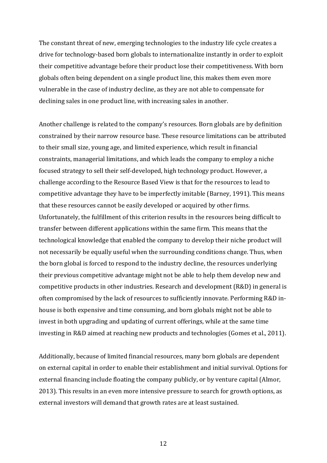The constant threat of new, emerging technologies to the industry life cycle creates a drive for technology-based born globals to internationalize instantly in order to exploit their competitive advantage before their product lose their competitiveness. With born globals often being dependent on a single product line, this makes them even more vulnerable in the case of industry decline, as they are not able to compensate for declining sales in one product line, with increasing sales in another.

Another challenge is related to the company's resources. Born globals are by definition constrained by their narrow resource base. These resource limitations can be attributed to their small size, young age, and limited experience, which result in financial constraints, managerial limitations, and which leads the company to employ a niche focused strategy to sell their self-developed, high technology product. However, a challenge according to the Resource Based View is that for the resources to lead to competitive advantage they have to be imperfectly imitable (Barney, 1991). This means that these resources cannot be easily developed or acquired by other firms. Unfortunately, the fulfillment of this criterion results in the resources being difficult to transfer between different applications within the same firm. This means that the technological knowledge that enabled the company to develop their niche product will not necessarily be equally useful when the surrounding conditions change. Thus, when the born global is forced to respond to the industry decline, the resources underlying their previous competitive advantage might not be able to help them develop new and competitive products in other industries. Research and development (R&D) in general is often compromised by the lack of resources to sufficiently innovate. Performing R&D inhouse is both expensive and time consuming, and born globals might not be able to invest in both upgrading and updating of current offerings, while at the same time investing in R&D aimed at reaching new products and technologies (Gomes et al., 2011).

Additionally, because of limited financial resources, many born globals are dependent on external capital in order to enable their establishment and initial survival. Options for external financing include floating the company publicly, or by venture capital (Almor, 2013). This results in an even more intensive pressure to search for growth options, as external investors will demand that growth rates are at least sustained.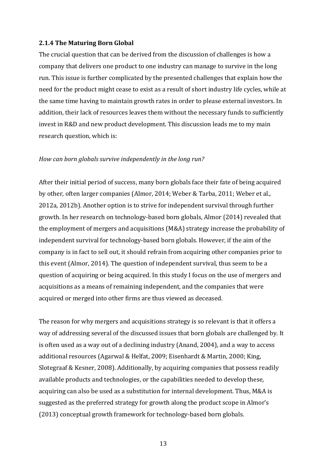#### **2.1.4 The Maturing Born Global**

The crucial question that can be derived from the discussion of challenges is how a company that delivers one product to one industry can manage to survive in the long run. This issue is further complicated by the presented challenges that explain how the need for the product might cease to exist as a result of short industry life cycles, while at the same time having to maintain growth rates in order to please external investors. In addition, their lack of resources leaves them without the necessary funds to sufficiently invest in R&D and new product development. This discussion leads me to my main research question, which is:

#### *How can born globals survive independently in the long run?*

After their initial period of success, many born globals face their fate of being acquired by other, often larger companies (Almor, 2014; Weber & Tarba, 2011; Weber et al., 2012a, 2012b). Another option is to strive for independent survival through further growth. In her research on technology-based born globals, Almor (2014) revealed that the employment of mergers and acquisitions (M&A) strategy increase the probability of independent survival for technology-based born globals. However, if the aim of the company is in fact to sell out, it should refrain from acquiring other companies prior to this event (Almor, 2014). The question of independent survival, thus seem to be a question of acquiring or being acquired. In this study I focus on the use of mergers and acquisitions as a means of remaining independent, and the companies that were acquired or merged into other firms are thus viewed as deceased.

The reason for why mergers and acquisitions strategy is so relevant is that it offers a way of addressing several of the discussed issues that born globals are challenged by. It is often used as a way out of a declining industry (Anand, 2004), and a way to access additional resources (Agarwal & Helfat, 2009; Eisenhardt & Martin, 2000; King, Slotegraaf & Kesner, 2008). Additionally, by acquiring companies that possess readily available products and technologies, or the capabilities needed to develop these, acquiring can also be used as a substitution for internal development. Thus, M&A is suggested as the preferred strategy for growth along the product scope in Almor's (2013) conceptual growth framework for technology-based born globals.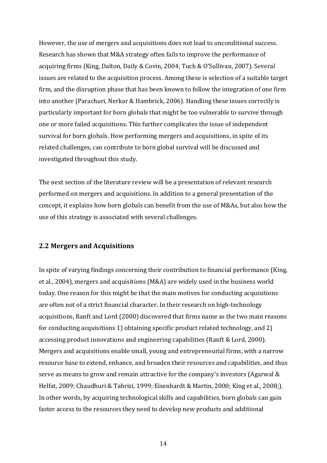However, the use of mergers and acquisitions does not lead to unconditional success. Research has shown that M&A strategy often fails to improve the performance of acquiring firms (King, Dalton, Daily & Covin, 2004; Tuch & O'Sullivan, 2007). Several issues are related to the acquisition process. Among these is selection of a suitable target firm, and the disruption phase that has been known to follow the integration of one firm into another (Parachuri, Nerkar & Hambrick, 2006). Handling these issues correctly is particularly important for born globals that might be too vulnerable to survive through one or more failed acquisitions. This further complicates the issue of independent survival for born globals. How performing mergers and acquisitions, in spite of its related challenges, can contribute to born global survival will be discussed and investigated throughout this study.

The next section of the literature review will be a presentation of relevant research performed on mergers and acquisitions. In addition to a general presentation of the concept, it explains how born globals can benefit from the use of M&As, but also how the use of this strategy is associated with several challenges.

#### **2.2 Mergers and Acquisitions**

In spite of varying findings concerning their contribution to financial performance (King, et al., 2004), mergers and acquisitions (M&A) are widely used in the business world today. One reason for this might be that the main motives for conducting acquisitions are often not of a strict financial character. In their research on high-technology acquisitions, Ranft and Lord (2000) discovered that firms name as the two main reasons for conducting acquisitions 1) obtaining specific product related technology, and 2) accessing product innovations and engineering capabilities (Ranft & Lord, 2000). Mergers and acquisitions enable small, young and entrepreneurial firms, with a narrow resource base to extend, enhance, and broaden their resources and capabilities, and thus serve as means to grow and remain attractive for the company's investors (Agarwal  $\&$ Helfat, 2009; Chaudhuri & Tabrizi, 1999; Eisenhardt & Martin, 2000; King et al., 2008;). In other words, by acquiring technological skills and capabilities, born globals can gain faster access to the resources they need to develop new products and additional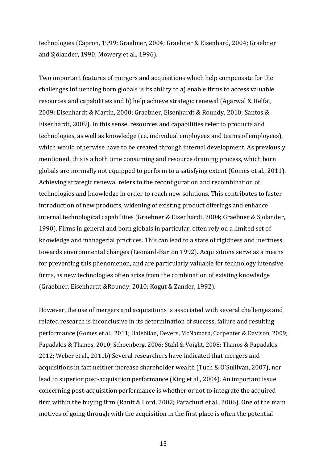technologies (Capron, 1999; Graebner, 2004; Graebner & Eisenhard, 2004; Graebner and Sjölander, 1990; Mowery et al., 1996).

Two important features of mergers and acquisitions which help compensate for the challenges influencing born globals is its ability to a) enable firms to access valuable resources and capabilities and b) help achieve strategic renewal (Agarwal & Helfat, 2009; Eisenhardt & Martin, 2000; Graebner, Eisenhardt & Roundy, 2010; Santos & Eisenhardt, 2009). In this sense, resources and capabilities refer to products and technologies, as well as knowledge (i.e. individual employees and teams of employees), which would otherwise have to be created through internal development. As previously mentioned, this is a both time consuming and resource draining process, which born globals are normally not equipped to perform to a satisfying extent (Gomes et al., 2011). Achieving strategic renewal refers to the reconfiguration and recombination of technologies and knowledge in order to reach new solutions. This contributes to faster introduction of new products, widening of existing product offerings and enhance internal technological capabilities (Graebner & Eisenhardt, 2004; Graebner & Sjolander, 1990). Firms in general and born globals in particular, often rely on a limited set of knowledge and managerial practices. This can lead to a state of rigidness and inertness towards environmental changes (Leonard-Barton 1992). Acquisitions serve as a means for preventing this phenomenon, and are particularly valuable for technology intensive firms, as new technologies often arise from the combination of existing knowledge (Graebner, Eisenhardt & Roundy, 2010; Kogut & Zander, 1992).

However, the use of mergers and acquisitions is associated with several challenges and related research is inconclusive in its determination of success, failure and resulting performance (Gomes et al., 2011; Haleblian, Devers, McNamara, Carpenter & Davison, 2009; Papadakis & Thanos, 2010; Schoenberg, 2006; Stahl & Voight, 2008; Thanos & Papadakis, 2012; Weber et al., 2011b) Several researchers have indicated that mergers and acquisitions in fact neither increase shareholder wealth (Tuch & O'Sullivan, 2007), nor lead to superior post-acquisition performance (King et al., 2004). An important issue concerning post-acquisition performance is whether or not to integrate the acquired firm within the buying firm (Ranft & Lord, 2002; Parachuri et al., 2006). One of the main motives of going through with the acquisition in the first place is often the potential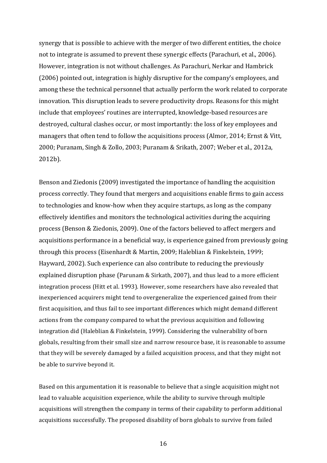synergy that is possible to achieve with the merger of two different entities, the choice not to integrate is assumed to prevent these synergic effects (Parachuri, et al., 2006). However, integration is not without challenges. As Parachuri, Nerkar and Hambrick (2006) pointed out, integration is highly disruptive for the company's employees, and among these the technical personnel that actually perform the work related to corporate innovation. This disruption leads to severe productivity drops. Reasons for this might include that employees' routines are interrupted, knowledge-based resources are destroyed, cultural clashes occur, or most importantly: the loss of key employees and managers that often tend to follow the acquisitions process (Almor, 2014; Ernst & Vitt, 2000; Puranam, Singh & Zollo, 2003; Puranam & Srikath, 2007; Weber et al., 2012a, 2012b). 

Benson and Ziedonis (2009) investigated the importance of handling the acquisition process correctly. They found that mergers and acquisitions enable firms to gain access to technologies and know-how when they acquire startups, as long as the company effectively identifies and monitors the technological activities during the acquiring process (Benson & Ziedonis, 2009). One of the factors believed to affect mergers and acquisitions performance in a beneficial way, is experience gained from previously going through this process (Eisenhardt & Martin, 2009; Haleblian & Finkelstein, 1999; Hayward, 2002). Such experience can also contribute to reducing the previously explained disruption phase (Parunam & Sirkath, 2007), and thus lead to a more efficient integration process (Hitt et al. 1993). However, some researchers have also revealed that inexperienced acquirers might tend to overgeneralize the experienced gained from their first acquisition, and thus fail to see important differences which might demand different actions from the company compared to what the previous acquisition and following integration did (Haleblian & Finkelstein, 1999). Considering the vulnerability of born globals, resulting from their small size and narrow resource base, it is reasonable to assume that they will be severely damaged by a failed acquisition process, and that they might not be able to survive beyond it.

Based on this argumentation it is reasonable to believe that a single acquisition might not lead to valuable acquisition experience, while the ability to survive through multiple acquisitions will strengthen the company in terms of their capability to perform additional acquisitions successfully. The proposed disability of born globals to survive from failed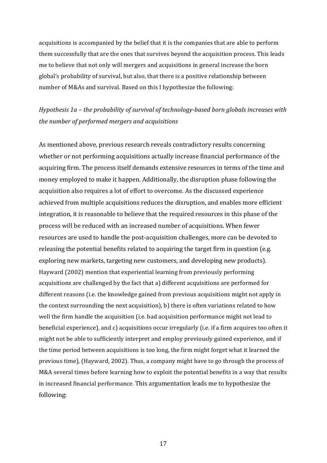acquisitions is accompanied by the belief that it is the companies that are able to perform them successfully that are the ones that survives beyond the acquisition process. This leads me to believe that not only will mergers and acquisitions in general increase the born global's probability of survival, but also, that there is a positive relationship between number of M&As and survival. Based on this I hypothesize the following:

### *Hypothesis* 1a – *the probability of survival of technology-based born globals increases with the number of performed mergers and acquisitions*

As mentioned above, previous research reveals contradictory results concerning whether or not performing acquisitions actually increase financial performance of the acquiring firm. The process itself demands extensive resources in terms of the time and money employed to make it happen. Additionally, the disruption phase following the acquisition also requires a lot of effort to overcome. As the discussed experience achieved from multiple acquisitions reduces the disruption, and enables more efficient integration, it is reasonable to believe that the required resources in this phase of the process will be reduced with an increased number of acquisitions. When fewer resources are used to handle the post-acquisition challenges, more can be devoted to releasing the potential benefits related to acquiring the target firm in question (e.g. exploring new markets, targeting new customers, and developing new products). Hayward (2002) mention that experiential learning from previously performing acquisitions are challenged by the fact that a) different acquisitions are performed for different reasons (i.e. the knowledge gained from previous acquisitions might not apply in the context surrounding the next acquisition), b) there is often variations related to how well the firm handle the acquisition (i.e. bad acquisition performance might not lead to beneficial experience), and c) acquisitions occur irregularly (i.e. if a firm acquires too often it might not be able to sufficiently interpret and employ previously gained experience, and if the time period between acquisitions is too long, the firm might forget what it learned the previous time), (Hayward, 2002). Thus, a company might have to go through the process of M&A several times before learning how to exploit the potential benefits in a way that results in increased financial performance. This argumentation leads me to hypothesize the following: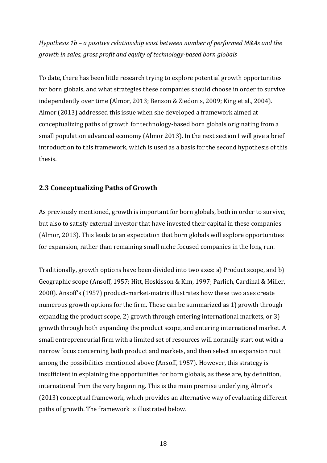*Hypothesis* 1b – a positive relationship exist between number of performed M&As and the *growth* in sales, gross profit and equity of technology-based born globals

To date, there has been little research trying to explore potential growth opportunities for born globals, and what strategies these companies should choose in order to survive independently over time (Almor, 2013; Benson & Ziedonis, 2009; King et al., 2004). Almor (2013) addressed this issue when she developed a framework aimed at conceptualizing paths of growth for technology-based born globals originating from a small population advanced economy (Almor 2013). In the next section I will give a brief introduction to this framework, which is used as a basis for the second hypothesis of this thesis.

#### **2.3 Conceptualizing Paths of Growth**

As previously mentioned, growth is important for born globals, both in order to survive, but also to satisfy external investor that have invested their capital in these companies (Almor, 2013). This leads to an expectation that born globals will explore opportunities for expansion, rather than remaining small niche focused companies in the long run.

Traditionally, growth options have been divided into two axes: a) Product scope, and b) Geographic scope (Ansoff, 1957; Hitt, Hoskisson & Kim, 1997; Parlich, Cardinal & Miller, 2000). Ansoff's (1957) product-market-matrix illustrates how these two axes create numerous growth options for the firm. These can be summarized as 1) growth through expanding the product scope, 2) growth through entering international markets, or 3) growth through both expanding the product scope, and entering international market. A small entrepreneurial firm with a limited set of resources will normally start out with a narrow focus concerning both product and markets, and then select an expansion rout among the possibilities mentioned above (Ansoff, 1957). However, this strategy is insufficient in explaining the opportunities for born globals, as these are, by definition, international from the very beginning. This is the main premise underlying Almor's (2013) conceptual framework, which provides an alternative way of evaluating different paths of growth. The framework is illustrated below.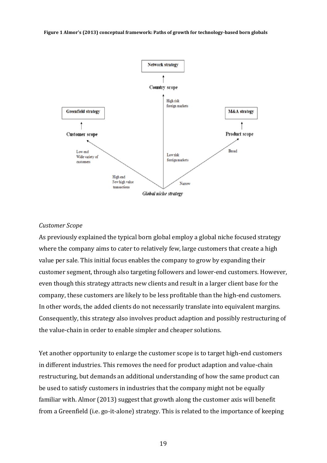

#### *Customer Scope*

As previously explained the typical born global employ a global niche focused strategy where the company aims to cater to relatively few, large customers that create a high value per sale. This initial focus enables the company to grow by expanding their customer segment, through also targeting followers and lower-end customers. However, even though this strategy attracts new clients and result in a larger client base for the company, these customers are likely to be less profitable than the high-end customers. In other words, the added clients do not necessarily translate into equivalent margins. Consequently, this strategy also involves product adaption and possibly restructuring of the value-chain in order to enable simpler and cheaper solutions.

Yet another opportunity to enlarge the customer scope is to target high-end customers in different industries. This removes the need for product adaption and value-chain restructuring, but demands an additional understanding of how the same product can be used to satisfy customers in industries that the company might not be equally familiar with. Almor (2013) suggest that growth along the customer axis will benefit from a Greenfield (i.e. go-it-alone) strategy. This is related to the importance of keeping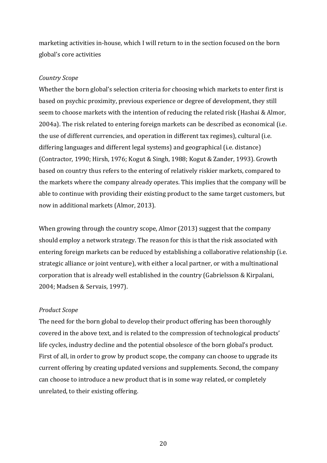marketing activities in-house, which I will return to in the section focused on the born global's core activities

#### *Country Scope*

Whether the born global's selection criteria for choosing which markets to enter first is based on psychic proximity, previous experience or degree of development, they still seem to choose markets with the intention of reducing the related risk (Hashai & Almor,  $2004a$ ). The risk related to entering foreign markets can be described as economical (i.e. the use of different currencies, and operation in different tax regimes), cultural (i.e. differing languages and different legal systems) and geographical (i.e. distance) (Contractor, 1990; Hirsh, 1976; Kogut & Singh, 1988; Kogut & Zander, 1993). Growth based on country thus refers to the entering of relatively riskier markets, compared to the markets where the company already operates. This implies that the company will be able to continue with providing their existing product to the same target customers, but now in additional markets (Almor, 2013).

When growing through the country scope, Almor (2013) suggest that the company should employ a network strategy. The reason for this is that the risk associated with entering foreign markets can be reduced by establishing a collaborative relationship (i.e. strategic alliance or joint venture), with either a local partner, or with a multinational corporation that is already well established in the country (Gabrielsson & Kirpalani, 2004; Madsen & Servais, 1997).

#### *Product Scope*

The need for the born global to develop their product offering has been thoroughly covered in the above text, and is related to the compression of technological products' life cycles, industry decline and the potential obsolesce of the born global's product. First of all, in order to grow by product scope, the company can choose to upgrade its current offering by creating updated versions and supplements. Second, the company can choose to introduce a new product that is in some way related, or completely unrelated, to their existing offering.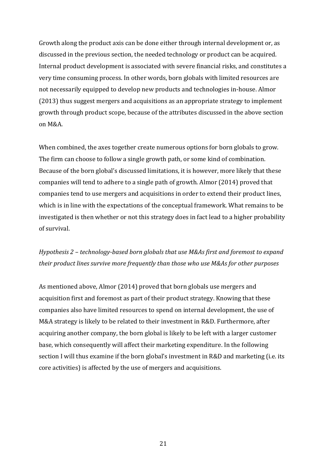Growth along the product axis can be done either through internal development or, as discussed in the previous section, the needed technology or product can be acquired. Internal product development is associated with severe financial risks, and constitutes a very time consuming process. In other words, born globals with limited resources are not necessarily equipped to develop new products and technologies in-house. Almor  $(2013)$  thus suggest mergers and acquisitions as an appropriate strategy to implement growth through product scope, because of the attributes discussed in the above section on M&A.

When combined, the axes together create numerous options for born globals to grow. The firm can choose to follow a single growth path, or some kind of combination. Because of the born global's discussed limitations, it is however, more likely that these companies will tend to adhere to a single path of growth. Almor (2014) proved that companies tend to use mergers and acquisitions in order to extend their product lines, which is in line with the expectations of the conceptual framework. What remains to be investigated is then whether or not this strategy does in fact lead to a higher probability of survival. 

### *Hypothesis* 2 – *technology-based born globals that use M&As first and foremost to expand their product lines survive more frequently than those who use M&As for other purposes*

As mentioned above, Almor  $(2014)$  proved that born globals use mergers and acquisition first and foremost as part of their product strategy. Knowing that these companies also have limited resources to spend on internal development, the use of M&A strategy is likely to be related to their investment in R&D. Furthermore, after acquiring another company, the born global is likely to be left with a larger customer base, which consequently will affect their marketing expenditure. In the following section I will thus examine if the born global's investment in R&D and marketing (i.e. its core activities) is affected by the use of mergers and acquisitions.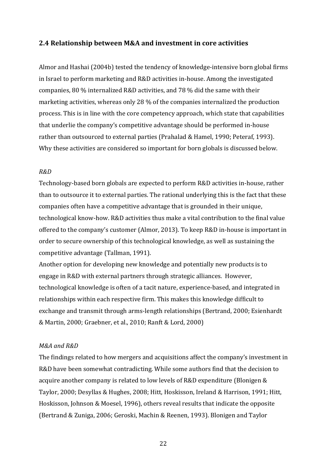#### **2.4** Relationship between M&A and investment in core activities

Almor and Hashai (2004b) tested the tendency of knowledge-intensive born global firms in Israel to perform marketing and R&D activities in-house. Among the investigated companies, 80  $\%$  internalized R&D activities, and 78  $\%$  did the same with their marketing activities, whereas only 28  $\%$  of the companies internalized the production process. This is in line with the core competency approach, which state that capabilities that underlie the company's competitive advantage should be performed in-house rather than outsourced to external parties (Prahalad & Hamel, 1990; Peteraf, 1993). Why these activities are considered so important for born globals is discussed below.

#### *R&D*

Technology-based born globals are expected to perform R&D activities in-house, rather than to outsource it to external parties. The rational underlying this is the fact that these companies often have a competitive advantage that is grounded in their unique, technological know-how. R&D activities thus make a vital contribution to the final value offered to the company's customer (Almor, 2013). To keep R&D in-house is important in order to secure ownership of this technological knowledge, as well as sustaining the competitive advantage (Tallman, 1991).

Another option for developing new knowledge and potentially new products is to engage in R&D with external partners through strategic alliances. However, technological knowledge is often of a tacit nature, experience-based, and integrated in relationships within each respective firm. This makes this knowledge difficult to exchange and transmit through arms-length relationships (Bertrand, 2000; Esienhardt & Martin, 2000; Graebner, et al., 2010; Ranft & Lord, 2000)

#### *M&A and R&D*

The findings related to how mergers and acquisitions affect the company's investment in R&D have been somewhat contradicting. While some authors find that the decision to acquire another company is related to low levels of R&D expenditure (Blonigen & Taylor, 2000; Desyllas & Hughes, 2008; Hitt, Hoskisson, Ireland & Harrison, 1991; Hitt, Hoskisson, Johnson & Moesel, 1996), others reveal results that indicate the opposite (Bertrand & Zuniga, 2006; Geroski, Machin & Reenen, 1993). Blonigen and Taylor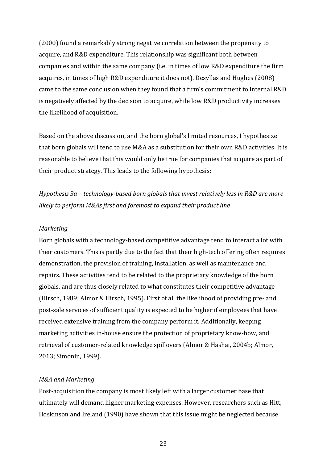(2000) found a remarkably strong negative correlation between the propensity to acquire, and R&D expenditure. This relationship was significant both between companies and within the same company (i.e. in times of low R&D expenditure the firm acquires, in times of high R&D expenditure it does not). Desyllas and Hughes (2008) came to the same conclusion when they found that a firm's commitment to internal R&D is negatively affected by the decision to acquire, while low R&D productivity increases the likelihood of acquisition.

Based on the above discussion, and the born global's limited resources, I hypothesize that born globals will tend to use M&A as a substitution for their own R&D activities. It is reasonable to believe that this would only be true for companies that acquire as part of their product strategy. This leads to the following hypothesis:

*Hypothesis*  $3a$  – *technology-based born globals that invest relatively less in R&D are more likely to perform M&As first and foremost to expand their product line* 

#### *Marketing*

Born globals with a technology-based competitive advantage tend to interact a lot with their customers. This is partly due to the fact that their high-tech offering often requires demonstration, the provision of training, installation, as well as maintenance and repairs. These activities tend to be related to the proprietary knowledge of the born globals, and are thus closely related to what constitutes their competitive advantage (Hirsch, 1989; Almor & Hirsch, 1995). First of all the likelihood of providing pre- and post-sale services of sufficient quality is expected to be higher if employees that have received extensive training from the company perform it. Additionally, keeping marketing activities in-house ensure the protection of proprietary know-how, and retrieval of customer-related knowledge spillovers (Almor & Hashai, 2004b; Almor, 2013; Simonin, 1999).

#### *M&A and Marketing*

Post-acquisition the company is most likely left with a larger customer base that ultimately will demand higher marketing expenses. However, researchers such as Hitt, Hoskinson and Ireland (1990) have shown that this issue might be neglected because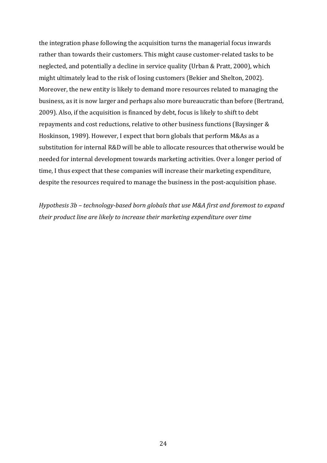the integration phase following the acquisition turns the managerial focus inwards rather than towards their customers. This might cause customer-related tasks to be neglected, and potentially a decline in service quality (Urban & Pratt, 2000), which might ultimately lead to the risk of losing customers (Bekier and Shelton, 2002). Moreover, the new entity is likely to demand more resources related to managing the business, as it is now larger and perhaps also more bureaucratic than before (Bertrand, 2009). Also, if the acquisition is financed by debt, focus is likely to shift to debt repayments and cost reductions, relative to other business functions (Baysinger & Hoskinson, 1989). However, I expect that born globals that perform M&As as a substitution for internal R&D will be able to allocate resources that otherwise would be needed for internal development towards marketing activities. Over a longer period of time, I thus expect that these companies will increase their marketing expenditure, despite the resources required to manage the business in the post-acquisition phase.

*Hypothesis*  $3b$  – *technology-based born globals that use M&A first and foremost to expand their product line are likely to increase their marketing expenditure over time*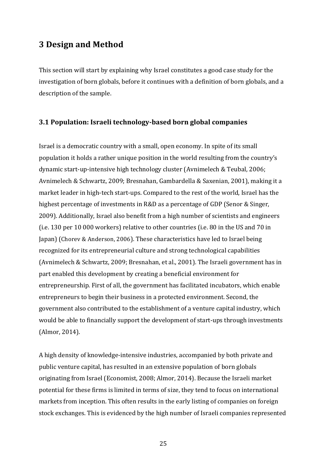## **3 Design and Method**

This section will start by explaining why Israel constitutes a good case study for the investigation of born globals, before it continues with a definition of born globals, and a description of the sample.

#### **3.1 Population: Israeli technology-based born global companies**

Israel is a democratic country with a small, open economy. In spite of its small population it holds a rather unique position in the world resulting from the country's dynamic start-up-intensive high technology cluster (Avnimelech & Teubal, 2006; Avnimelech & Schwartz, 2009; Bresnahan, Gambardella & Saxenian, 2001), making it a market leader in high-tech start-ups. Compared to the rest of the world, Israel has the highest percentage of investments in R&D as a percentage of GDP (Senor & Singer, 2009). Additionally, Israel also benefit from a high number of scientists and engineers (i.e. 130 per 10 000 workers) relative to other countries (i.e. 80 in the US and 70 in Iapan) (Chorey & Anderson, 2006). These characteristics have led to Israel being recognized for its entrepreneurial culture and strong technological capabilities (Avnimelech & Schwartz, 2009; Bresnahan, et al., 2001). The Israeli government has in part enabled this development by creating a beneficial environment for entrepreneurship. First of all, the government has facilitated incubators, which enable entrepreneurs to begin their business in a protected environment. Second, the government also contributed to the establishment of a venture capital industry, which would be able to financially support the development of start-ups through investments (Almor, 2014).

A high density of knowledge-intensive industries, accompanied by both private and public venture capital, has resulted in an extensive population of born globals originating from Israel (Economist, 2008; Almor, 2014). Because the Israeli market potential for these firms is limited in terms of size, they tend to focus on international markets from inception. This often results in the early listing of companies on foreign stock exchanges. This is evidenced by the high number of Israeli companies represented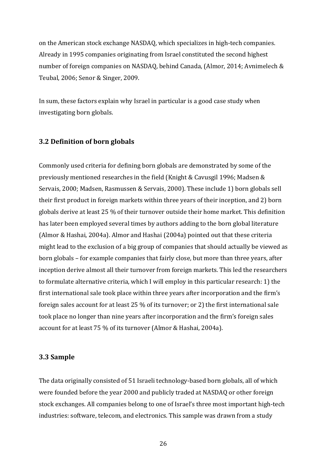on the American stock exchange NASDAQ, which specializes in high-tech companies. Already in 1995 companies originating from Israel constituted the second highest number of foreign companies on NASDAQ, behind Canada, (Almor, 2014; Avnimelech & Teubal, 2006; Senor & Singer, 2009.

In sum, these factors explain why Israel in particular is a good case study when investigating born globals.

#### **3.2 Definition of born globals**

Commonly used criteria for defining born globals are demonstrated by some of the previously mentioned researches in the field (Knight & Cavusgil 1996; Madsen & Servais, 2000; Madsen, Rasmussen & Servais, 2000). These include 1) born globals sell their first product in foreign markets within three years of their inception, and 2) born globals derive at least 25 % of their turnover outside their home market. This definition has later been employed several times by authors adding to the born global literature (Almor & Hashai, 2004a). Almor and Hashai (2004a) pointed out that these criteria might lead to the exclusion of a big group of companies that should actually be viewed as born globals – for example companies that fairly close, but more than three years, after inception derive almost all their turnover from foreign markets. This led the researchers to formulate alternative criteria, which I will employ in this particular research: 1) the first international sale took place within three years after incorporation and the firm's foreign sales account for at least  $25\%$  of its turnover; or 2) the first international sale took place no longer than nine years after incorporation and the firm's foreign sales account for at least 75 % of its turnover (Almor & Hashai, 2004a).

#### **3.3 Sample**

The data originally consisted of 51 Israeli technology-based born globals, all of which were founded before the year 2000 and publicly traded at NASDAQ or other foreign stock exchanges. All companies belong to one of Israel's three most important high-tech industries: software, telecom, and electronics. This sample was drawn from a study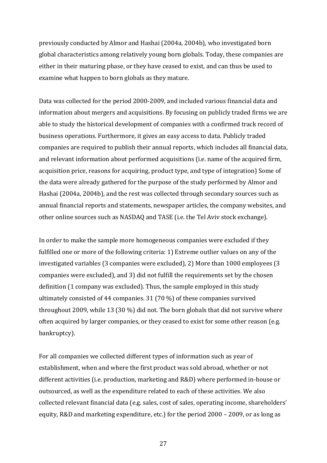previously conducted by Almor and Hashai (2004a, 2004b), who investigated born global characteristics among relatively young born globals. Today, these companies are either in their maturing phase, or they have ceased to exist, and can thus be used to examine what happen to born globals as they mature.

Data was collected for the period 2000-2009, and included various financial data and information about mergers and acquisitions. By focusing on publicly traded firms we are able to study the historical development of companies with a confirmed track record of business operations. Furthermore, it gives an easy access to data. Publicly traded companies are required to publish their annual reports, which includes all financial data, and relevant information about performed acquisitions (i.e. name of the acquired firm, acquisition price, reasons for acquiring, product type, and type of integration) Some of the data were already gathered for the purpose of the study performed by Almor and Hashai (2004a, 2004b), and the rest was collected through secondary sources such as annual financial reports and statements, newspaper articles, the company websites, and other online sources such as NASDAQ and TASE (i.e. the Tel Aviv stock exchange).

In order to make the sample more homogeneous companies were excluded if they fulfilled one or more of the following criteria: 1) Extreme outlier values on any of the investigated variables (3 companies were excluded), 2) More than  $1000$  employees (3 companies were excluded), and 3) did not fulfill the requirements set by the chosen definition (1 company was excluded). Thus, the sample employed in this study ultimately consisted of 44 companies.  $31$  (70 %) of these companies survived throughout 2009, while 13 (30 %) did not. The born globals that did not survive where often acquired by larger companies, or they ceased to exist for some other reason (e.g. bankruptcy).

For all companies we collected different types of information such as year of establishment, when and where the first product was sold abroad, whether or not different activities (i.e. production, marketing and R&D) where performed in-house or outsourced, as well as the expenditure related to each of these activities. We also collected relevant financial data (e.g. sales, cost of sales, operating income, shareholders' equity, R&D and marketing expenditure, etc.) for the period  $2000 - 2009$ , or as long as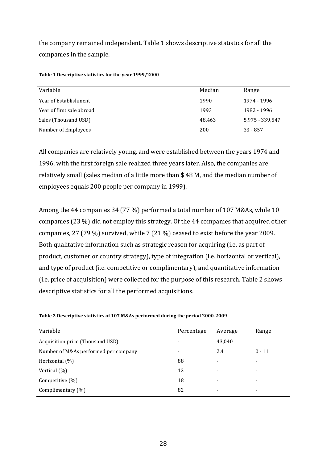the company remained independent. Table 1 shows descriptive statistics for all the companies in the sample.

| Variable                  | Median | Range           |
|---------------------------|--------|-----------------|
| Year of Establishment     | 1990   | 1974 - 1996     |
| Year of first sale abroad | 1993   | 1982 - 1996     |
| Sales (Thousand USD)      | 48,463 | 5,975 - 339,547 |
| Number of Employees       | 200    | $33 - 857$      |

Table 1 Descriptive statistics for the year 1999/2000

All companies are relatively young, and were established between the years 1974 and 1996, with the first foreign sale realized three years later. Also, the companies are relatively small (sales median of a little more than \$48 M, and the median number of employees equals 200 people per company in 1999).

Among the 44 companies 34 (77 %) performed a total number of 107 M&As, while 10 companies (23  $\%$ ) did not employ this strategy. Of the 44 companies that acquired other companies, 27 (79 %) survived, while 7 (21 %) ceased to exist before the year 2009. Both qualitative information such as strategic reason for acquiring (i.e. as part of product, customer or country strategy), type of integration (i.e. horizontal or vertical), and type of product (i.e. competitive or complimentary), and quantitative information (i.e. price of acquisition) were collected for the purpose of this research. Table 2 shows descriptive statistics for all the performed acquisitions.

| Variable                             | Percentage | Average                  | Range                    |
|--------------------------------------|------------|--------------------------|--------------------------|
| Acquisition price (Thousand USD)     |            | 43,040                   |                          |
| Number of M&As performed per company |            | 2.4                      | $0 - 11$                 |
| Horizontal $(\%)$                    | 88         | -                        | $\overline{\phantom{a}}$ |
| Vertical (%)                         | 12         |                          | $\overline{\phantom{0}}$ |
| Competitive $(\%)$                   | 18         |                          |                          |
| Complimentary $(\%)$                 | 82         | $\overline{\phantom{0}}$ | $\overline{\phantom{0}}$ |

Table 2 Descriptive statistics of 107 M&As performed during the period 2000-2009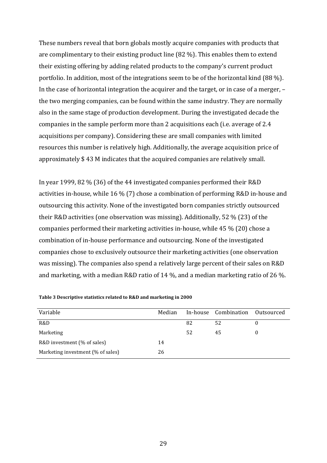These numbers reveal that born globals mostly acquire companies with products that are complimentary to their existing product line  $(82 \%)$ . This enables them to extend their existing offering by adding related products to the company's current product portfolio. In addition, most of the integrations seem to be of the horizontal kind  $(88\%)$ . In the case of horizontal integration the acquirer and the target, or in case of a merger,  $$ the two merging companies, can be found within the same industry. They are normally also in the same stage of production development. During the investigated decade the companies in the sample perform more than 2 acquisitions each (i.e. average of 2.4 acquisitions per company). Considering these are small companies with limited resources this number is relatively high. Additionally, the average acquisition price of approximately  $$ 43$  M indicates that the acquired companies are relatively small.

In year 1999, 82 % (36) of the 44 investigated companies performed their R&D activities in-house, while  $16\%$  (7) chose a combination of performing R&D in-house and outsourcing this activity. None of the investigated born companies strictly outsourced their R&D activities (one observation was missing). Additionally, 52 % (23) of the companies performed their marketing activities in-house, while  $45\%$  (20) chose a combination of in-house performance and outsourcing. None of the investigated companies chose to exclusively outsource their marketing activities (one observation was missing). The companies also spend a relatively large percent of their sales on R&D and marketing, with a median R&D ratio of 14 %, and a median marketing ratio of 26 %.

| Variable                          | Median |    | In-house Combination | Outsourced |
|-----------------------------------|--------|----|----------------------|------------|
| R&D                               |        | 82 | 52                   |            |
| Marketing                         |        | 52 | 45                   |            |
| R&D investment (% of sales)       | 14     |    |                      |            |
| Marketing investment (% of sales) | 26     |    |                      |            |

Table 3 Descriptive statistics related to R&D and marketing in 2000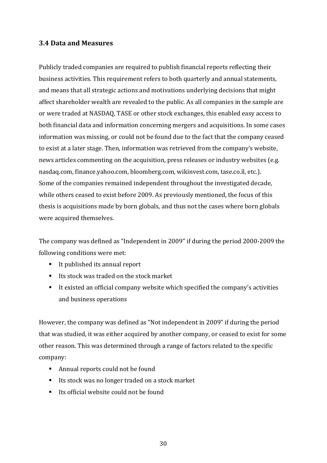# **3.4 Data and Measures**

Publicly traded companies are required to publish financial reports reflecting their business activities. This requirement refers to both quarterly and annual statements, and means that all strategic actions and motivations underlying decisions that might affect shareholder wealth are revealed to the public. As all companies in the sample are or were traded at NASDAQ, TASE or other stock exchanges, this enabled easy access to both financial data and information concerning mergers and acquisitions. In some cases information was missing, or could not be found due to the fact that the company ceased to exist at a later stage. Then, information was retrieved from the company's website, news articles commenting on the acquisition, press releases or industry websites (e.g. nasdaq.com, finance.yahoo.com, bloomberg.com, wikinvest.com, tase.co.il, etc.). Some of the companies remained independent throughout the investigated decade, while others ceased to exist before 2009. As previously mentioned, the focus of this thesis is acquisitions made by born globals, and thus not the cases where born globals were acquired themselves.

The company was defined as "Independent in 2009" if during the period 2000-2009 the following conditions were met:

- $\blacksquare$  It published its annual report
- $\blacksquare$  Its stock was traded on the stock market
- It existed an official company website which specified the company's activities and business operations

However, the company was defined as "Not independent in 2009" if during the period that was studied, it was either acquired by another company, or ceased to exist for some other reason. This was determined through a range of factors related to the specific company:

- Annual reports could not be found
- Its stock was no longer traded on a stock market
- $\blacksquare$  Its official website could not be found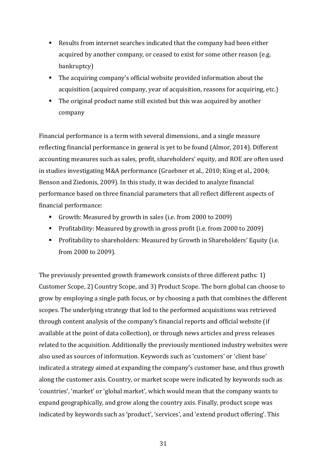- $\blacksquare$  Results from internet searches indicated that the company had been either acquired by another company, or ceased to exist for some other reason (e.g. bankruptcy)
- $\blacksquare$  The acquiring company's official website provided information about the acquisition (acquired company, year of acquisition, reasons for acquiring, etc.)
- $\blacksquare$  The original product name still existed but this was acquired by another company

Financial performance is a term with several dimensions, and a single measure reflecting financial performance in general is yet to be found (Almor, 2014). Different accounting measures such as sales, profit, shareholders' equity, and ROE are often used in studies investigating M&A performance (Graebner et al., 2010; King et al., 2004; Benson and Ziedonis, 2009). In this study, it was decided to analyze financial performance based on three financial parameters that all reflect different aspects of financial performance:

- Growth: Measured by growth in sales (i.e. from 2000 to 2009)
- **Profitability:** Measured by growth in gross profit (i.e. from 2000 to 2009)
- **Profitability to shareholders: Measured by Growth in Shareholders' Equity (i.e.** from 2000 to 2009).

The previously presented growth framework consists of three different paths: 1) Customer Scope, 2) Country Scope, and 3) Product Scope. The born global can choose to grow by employing a single path focus, or by choosing a path that combines the different scopes. The underlying strategy that led to the performed acquisitions was retrieved through content analysis of the company's financial reports and official website (if available at the point of data collection), or through news articles and press releases related to the acquisition. Additionally the previously mentioned industry websites were also used as sources of information. Keywords such as 'customers' or 'client base' indicated a strategy aimed at expanding the company's customer base, and thus growth along the customer axis. Country, or market scope were indicated by keywords such as 'countries', 'market' or 'global market', which would mean that the company wants to expand geographically, and grow along the country axis. Finally, product scope was indicated by keywords such as 'product', 'services', and 'extend product offering'. This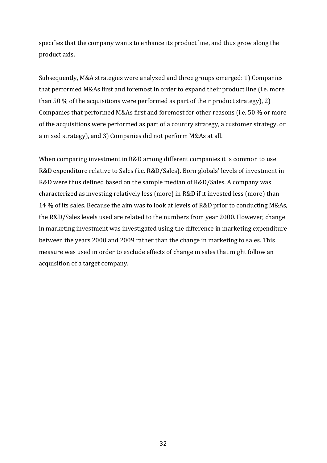specifies that the company wants to enhance its product line, and thus grow along the product axis.

Subsequently, M&A strategies were analyzed and three groups emerged: 1) Companies that performed M&As first and foremost in order to expand their product line (i.e. more than 50  $\%$  of the acquisitions were performed as part of their product strategy), 2) Companies that performed M&As first and foremost for other reasons (i.e.  $50\%$  or more of the acquisitions were performed as part of a country strategy, a customer strategy, or a mixed strategy), and 3) Companies did not perform M&As at all.

When comparing investment in R&D among different companies it is common to use R&D expenditure relative to Sales (i.e. R&D/Sales). Born globals' levels of investment in R&D were thus defined based on the sample median of R&D/Sales. A company was characterized as investing relatively less (more) in R&D if it invested less (more) than 14 % of its sales. Because the aim was to look at levels of R&D prior to conducting M&As, the R&D/Sales levels used are related to the numbers from year 2000. However, change in marketing investment was investigated using the difference in marketing expenditure between the years 2000 and 2009 rather than the change in marketing to sales. This measure was used in order to exclude effects of change in sales that might follow an acquisition of a target company.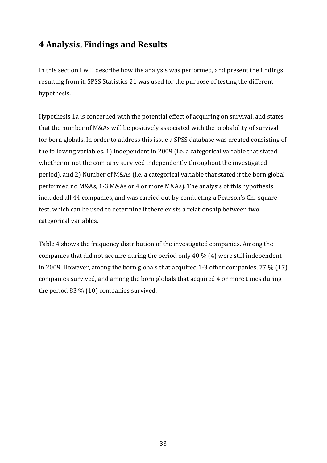# **4 Analysis, Findings and Results**

In this section I will describe how the analysis was performed, and present the findings resulting from it. SPSS Statistics 21 was used for the purpose of testing the different hypothesis.

Hypothesis 1a is concerned with the potential effect of acquiring on survival, and states that the number of M&As will be positively associated with the probability of survival for born globals. In order to address this issue a SPSS database was created consisting of the following variables. 1) Independent in 2009 (i.e. a categorical variable that stated whether or not the company survived independently throughout the investigated period), and 2) Number of M&As (i.e. a categorical variable that stated if the born global performed no M&As, 1-3 M&As or 4 or more M&As). The analysis of this hypothesis included all 44 companies, and was carried out by conducting a Pearson's Chi-square test, which can be used to determine if there exists a relationship between two categorical variables.

Table 4 shows the frequency distribution of the investigated companies. Among the companies that did not acquire during the period only 40  $\%$  (4) were still independent in 2009. However, among the born globals that acquired 1-3 other companies,  $77\%$  (17) companies survived, and among the born globals that acquired 4 or more times during the period  $83\%$  (10) companies survived.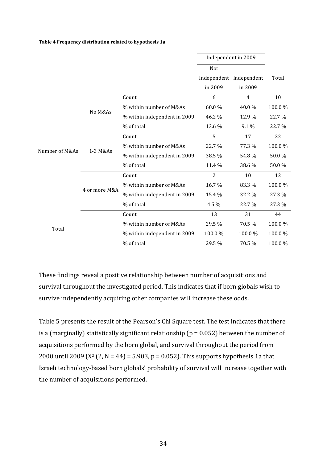**Table 4 Frequency distribution related to hypothesis 1a**

|                |               |                              |                | Independent in 2009     |        |
|----------------|---------------|------------------------------|----------------|-------------------------|--------|
|                |               |                              | Not            |                         |        |
|                |               |                              |                | Independent Independent | Total  |
|                |               |                              | in 2009        | in 2009                 |        |
|                |               | Count                        | 6              | $\overline{4}$          | 10     |
|                | No M&As       | % within number of M&As      | 60.0%          | 40.0%                   | 100.0% |
|                |               | % within independent in 2009 | 46.2 %         | 12.9%                   | 22.7%  |
|                |               | % of total                   | 13.6 %         | 9.1 %                   | 22.7%  |
|                | 1-3 M&As      | Count                        | 5              | 17                      | 22     |
| Number of M&As |               | % within number of M&As      | 22.7%          | 77.3 %                  | 100.0% |
|                |               | % within independent in 2009 | 38.5 %         | 54.8%                   | 50.0%  |
|                |               | % of total                   | 11.4 %         | 38.6 %                  | 50.0%  |
|                | 4 or more M&A | Count                        | $\overline{2}$ | 10                      | 12     |
|                |               | % within number of M&As      | 16.7%          | 83.3 %                  | 100.0% |
|                |               | % within independent in 2009 | 15.4 %         | 32.2 %                  | 27.3 % |
|                |               | % of total                   | 4.5 %          | 22.7 %                  | 27.3 % |
|                |               | Count                        | 13             | 31                      | 44     |
|                |               | % within number of M&As      | 29.5 %         | 70.5 %                  | 100.0% |
| Total          |               | % within independent in 2009 | 100.0%         | 100.0%                  | 100.0% |
|                |               | % of total                   | 29.5 %         | 70.5 %                  | 100.0% |

These findings reveal a positive relationship between number of acquisitions and survival throughout the investigated period. This indicates that if born globals wish to survive independently acquiring other companies will increase these odds.

Table 5 presents the result of the Pearson's Chi Square test. The test indicates that there is a (marginally) statistically significant relationship ( $p = 0.052$ ) between the number of acquisitions performed by the born global, and survival throughout the period from 2000 until 2009 ( $X^2$  (2, N = 44) = 5.903, p = 0.052). This supports hypothesis 1a that Israeli technology-based born globals' probability of survival will increase together with the number of acquisitions performed.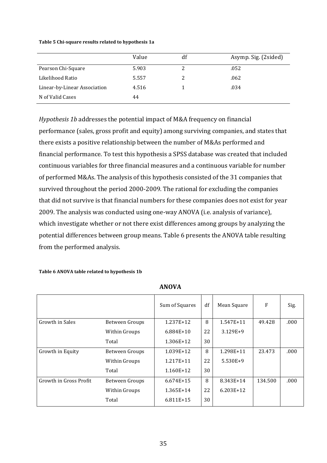#### **Table 5 Chi-square results related to hypothesis 1a**

|                              | Value | df | Asymp. Sig. (2sided) |
|------------------------------|-------|----|----------------------|
| Pearson Chi-Square           | 5.903 |    | .052                 |
| Likelihood Ratio             | 5.557 |    | .062                 |
| Linear-by-Linear Association | 4.516 |    | .034                 |
| N of Valid Cases             | 44    |    |                      |

*Hypothesis 1b* addresses the potential impact of M&A frequency on financial performance (sales, gross profit and equity) among surviving companies, and states that there exists a positive relationship between the number of M&As performed and financial performance. To test this hypothesis a SPSS database was created that included continuous variables for three financial measures and a continuous variable for number of performed M&As. The analysis of this hypothesis consisted of the 31 companies that survived throughout the period 2000-2009. The rational for excluding the companies that did not survive is that financial numbers for these companies does not exist for year 2009. The analysis was conducted using one-way ANOVA (i.e. analysis of variance), which investigate whether or not there exist differences among groups by analyzing the potential differences between group means. Table 6 presents the ANOVA table resulting from the performed analysis.

#### Table 6 ANOVA table related to hypothesis 1b

|                        |                | Sum of Squares | df | Mean Square | F       | Sig. |
|------------------------|----------------|----------------|----|-------------|---------|------|
| Growth in Sales        | Between Groups | 1.237E+12      | 8  | 1.547E+11   | 49.428  | .000 |
|                        | Within Groups  | $6.884E+10$    | 22 | $3.129E+9$  |         |      |
|                        | Total          | 1.306E+12      | 30 |             |         |      |
| Growth in Equity       | Between Groups | 1.039E+12      | 8  | 1.298E+11   | 23.473  | .000 |
|                        | Within Groups  | 1.217E+11      | 22 | $5.530E+9$  |         |      |
|                        | Total          | $1.160E+12$    | 30 |             |         |      |
| Growth in Gross Profit | Between Groups | $6.674E+15$    | 8  | 8.343E+14   | 134.500 | .000 |
|                        | Within Groups  | 1.365E+14      | 22 | $6.203E+12$ |         |      |
|                        | Total          | 6.811E+15      | 30 |             |         |      |

**ANOVA**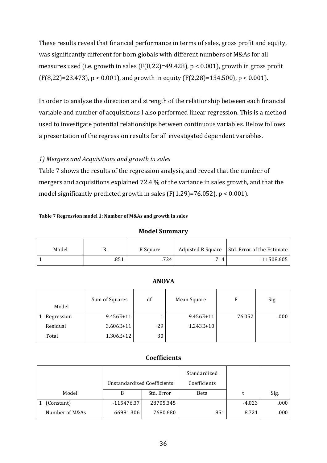These results reveal that financial performance in terms of sales, gross profit and equity, was significantly different for born globals with different numbers of M&As for all measures used (i.e. growth in sales (F(8,22)=49.428),  $p < 0.001$ ), growth in gross profit  $(F(8,22)=23.473)$ ,  $p < 0.001$ ), and growth in equity  $(F(2,28)=134.500)$ ,  $p < 0.001$ ).

In order to analyze the direction and strength of the relationship between each financial variable and number of acquisitions I also performed linear regression. This is a method used to investigate potential relationships between continuous variables. Below follows a presentation of the regression results for all investigated dependent variables.

# 1) Mergers and Acquisitions and growth in sales

Table 7 shows the results of the regression analysis, and reveal that the number of mergers and acquisitions explained  $72.4\%$  of the variance in sales growth, and that the model significantly predicted growth in sales  $(F(1,29)=76.052)$ , p < 0.001).

### Table 7 Regression model 1: Number of M&As and growth in sales

## **Model Summary**

| Model |      | R Square | Adjusted R Square | Std. Error of the Estimate |
|-------|------|----------|-------------------|----------------------------|
|       | .851 | .724     | .714              | 111508.605                 |

| Model      | Sum of Squares | df | Mean Square | F      | Sig. |
|------------|----------------|----|-------------|--------|------|
| Regression | $9.456E+11$    |    | 9.456E+11   | 76.052 | .000 |
| Residual   | $3.606E+11$    | 29 | 1.243E+10   |        |      |
| Total      | 1.306E+12      | 30 |             |        |      |

## **ANOVA**

# **Coefficients**

|                | <b>Unstandardized Coefficients</b> |            | Standardized<br>Coefficients |          |      |
|----------------|------------------------------------|------------|------------------------------|----------|------|
| Model          |                                    | Std. Error | Beta                         | t        | Sig. |
| (Constant)     | -115476.37                         | 28705.345  |                              | $-4.023$ | .000 |
| Number of M&As | 66981.306                          | 7680.680   | .851                         | 8.721    | .000 |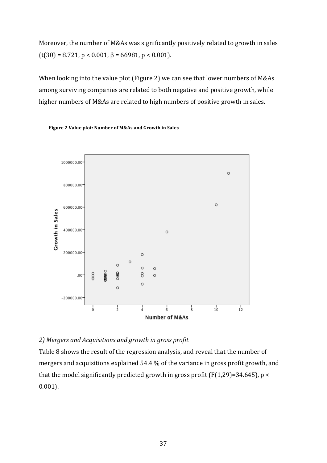Moreover, the number of M&As was significantly positively related to growth in sales  $(t(30) = 8.721, p < 0.001, \beta = 66981, p < 0.001$ .

When looking into the value plot (Figure 2) we can see that lower numbers of M&As among surviving companies are related to both negative and positive growth, while higher numbers of M&As are related to high numbers of positive growth in sales.



**Figure 2 Value plot: Number of M&As and Growth in Sales** 

# 2) Mergers and Acquisitions and growth in gross profit

Table 8 shows the result of the regression analysis, and reveal that the number of mergers and acquisitions explained 54.4 % of the variance in gross profit growth, and that the model significantly predicted growth in gross profit (F(1,29)=34.645),  $p <$ 0.001).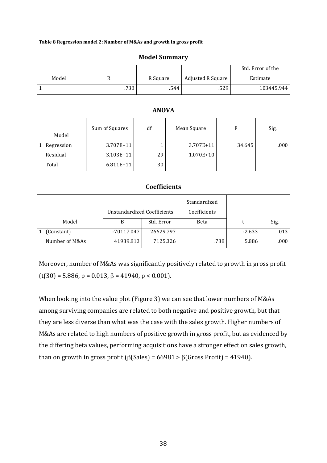#### Table 8 Regression model 2: Number of M&As and growth in gross profit

|       |      |          |                   | Std. Error of the |
|-------|------|----------|-------------------|-------------------|
| Model |      | R Square | Adjusted R Square | Estimate          |
|       | .738 | .544     | .529              | 103445.944        |

#### **Model Summary**

## **ANOVA**

| Model      | Sum of Squares | df | Mean Square   | F      | Sig. |
|------------|----------------|----|---------------|--------|------|
| Regression | $3.707E+11$    |    | 3.707E+11     | 34.645 | .000 |
| Residual   | $3.103E+11$    | 29 | $1.070E + 10$ |        |      |
| Total      | $6.811E+11$    | 30 |               |        |      |

## **Coefficients**

|                | Unstandardized Coefficients |            | Standardized<br>Coefficients |          |      |
|----------------|-----------------------------|------------|------------------------------|----------|------|
| Model          |                             | Std. Error | Beta                         |          | Sig. |
| (Constant)     | -70117.047                  | 26629.797  |                              | $-2.633$ | .013 |
| Number of M&As | 41939.813                   | 7125.326   | .738                         | 5.886    | .000 |

Moreover, number of M&As was significantly positively related to growth in gross profit  $(t(30) = 5.886, p = 0.013, \beta = 41940, p < 0.001$ .

When looking into the value plot (Figure 3) we can see that lower numbers of M&As among surviving companies are related to both negative and positive growth, but that they are less diverse than what was the case with the sales growth. Higher numbers of M&As are related to high numbers of positive growth in gross profit, but as evidenced by the differing beta values, performing acquisitions have a stronger effect on sales growth, than on growth in gross profit ( $\beta$ (Sales) = 66981 >  $\beta$ (Gross Profit) = 41940).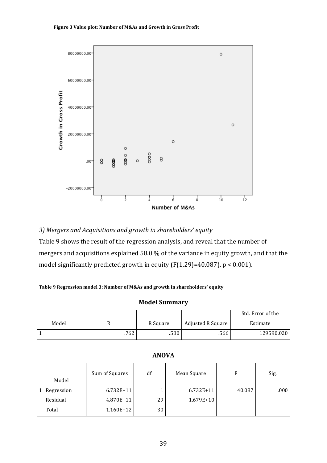#### Figure 3 Value plot: Number of M&As and Growth in Gross Profit



## *3) Mergers and Acquisitions and growth in shareholders' equity*

Table 9 shows the result of the regression analysis, and reveal that the number of mergers and acquisitions explained 58.0 % of the variance in equity growth, and that the model significantly predicted growth in equity (F(1,29)=40.087),  $p < 0.001$ ).

#### Table 9 Regression model 3: Number of M&As and growth in shareholders' equity

### **Model Summary**

|       |      |          |                   | Std. Error of the |
|-------|------|----------|-------------------|-------------------|
| Model |      | R Square | Adjusted R Square | Estimate          |
|       | .762 | .580     | .566              | 129590.020        |

| Model      | Sum of Squares | df | Mean Square | F      | Sig. |
|------------|----------------|----|-------------|--------|------|
| Regression | $6.732E+11$    |    | 6.732E+11   | 40.087 | .000 |
| Residual   | $4.870E+11$    | 29 | 1.679E+10   |        |      |
| Total      | 1.160E+12      | 30 |             |        |      |

## **ANOVA**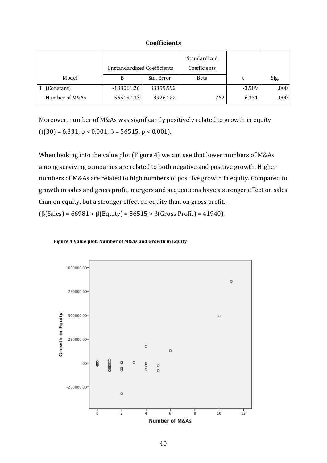## **Coefficients**

|                | Unstandardized Coefficients |            | Standardized<br>Coefficients |          |      |
|----------------|-----------------------------|------------|------------------------------|----------|------|
| Model          | В                           | Std. Error | Beta                         |          | Sig. |
| (Constant)     | $-133061.26$                | 33359.992  |                              | $-3.989$ | .000 |
| Number of M&As | 56515.133                   | 8926.122   | .762                         | 6.331    | .000 |

Moreover, number of M&As was significantly positively related to growth in equity  $(t(30) = 6.331, p < 0.001, \beta = 56515, p < 0.001$ .

When looking into the value plot (Figure 4) we can see that lower numbers of M&As among surviving companies are related to both negative and positive growth. Higher numbers of M&As are related to high numbers of positive growth in equity. Compared to growth in sales and gross profit, mergers and acquisitions have a stronger effect on sales than on equity, but a stronger effect on equity than on gross profit.  $(\beta$ (Sales) = 66981 >  $\beta$ (Equity) = 56515 >  $\beta$ (Gross Profit) = 41940).



#### Figure 4 Value plot: Number of M&As and Growth in Equity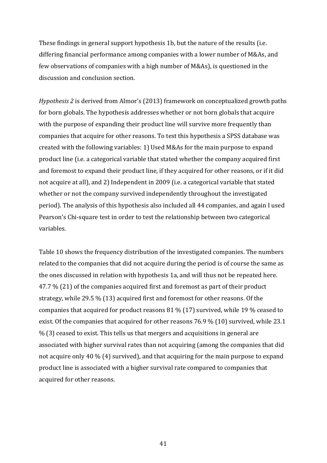These findings in general support hypothesis 1b, but the nature of the results (i.e. differing financial performance among companies with a lower number of M&As, and few observations of companies with a high number of M&As), is questioned in the discussion and conclusion section.

*Hypothesis* 2 is derived from Almor's (2013) framework on conceptualized growth paths for born globals. The hypothesis addresses whether or not born globals that acquire with the purpose of expanding their product line will survive more frequently than companies that acquire for other reasons. To test this hypothesis a SPSS database was created with the following variables: 1) Used M&As for the main purpose to expand product line (i.e. a categorical variable that stated whether the company acquired first and foremost to expand their product line, if they acquired for other reasons, or if it did not acquire at all), and 2) Independent in 2009 (i.e. a categorical variable that stated whether or not the company survived independently throughout the investigated period). The analysis of this hypothesis also included all 44 companies, and again I used Pearson's Chi-square test in order to test the relationship between two categorical variables.

Table 10 shows the frequency distribution of the investigated companies. The numbers related to the companies that did not acquire during the period is of course the same as the ones discussed in relation with hypothesis 1a, and will thus not be repeated here.  $47.7\%$  (21) of the companies acquired first and foremost as part of their product strategy, while  $29.5\%$  (13) acquired first and foremost for other reasons. Of the companies that acquired for product reasons  $81\%$  (17) survived, while 19 % ceased to exist. Of the companies that acquired for other reasons  $76.9\%$  (10) survived, while 23.1  $%$  (3) ceased to exist. This tells us that mergers and acquisitions in general are associated with higher survival rates than not acquiring (among the companies that did not acquire only 40  $\%$  (4) survived), and that acquiring for the main purpose to expand product line is associated with a higher survival rate compared to companies that acquired for other reasons.

41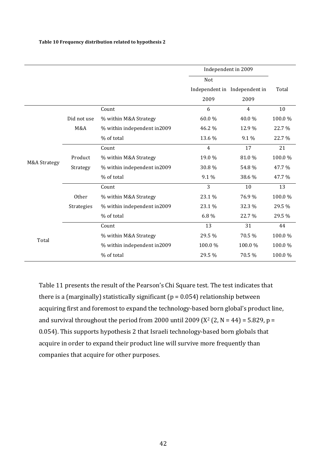|              |             | Independent in 2009         |        |                               |        |
|--------------|-------------|-----------------------------|--------|-------------------------------|--------|
|              |             |                             | Not    |                               |        |
|              |             |                             |        | Independent in Independent in | Total  |
|              |             |                             | 2009   | 2009                          |        |
|              |             | Count                       | 6      | 4                             | 10     |
|              | Did not use | % within M&A Strategy       | 60.0%  | 40.0%                         | 100.0% |
|              | M&A         | % within independent in2009 | 46.2%  | 12.9%                         | 22.7%  |
|              |             | % of total                  | 13.6 % | 9.1 %                         | 22.7%  |
|              |             | Count                       | 4      | 17                            | 21     |
|              | Product     | % within M&A Strategy       | 19.0 % | 81.0%                         | 100.0% |
| M&A Strategy | Strategy    | % within independent in2009 | 30.8%  | 54.8%                         | 47.7%  |
|              |             | % of total                  | 9.1 %  | 38.6 %                        | 47.7 % |
|              |             | Count                       | 3      | 10                            | 13     |
|              | Other       | % within M&A Strategy       | 23.1 % | 76.9%                         | 100.0% |
|              | Strategies  | % within independent in2009 | 23.1 % | 32.3 %                        | 29.5 % |
|              |             | % of total                  | 6.8%   | 22.7%                         | 29.5 % |
| Total        |             | Count                       | 13     | 31                            | 44     |
|              |             | % within M&A Strategy       | 29.5 % | 70.5 %                        | 100.0% |
|              |             | % within independent in2009 | 100.0% | 100.0%                        | 100.0% |
|              |             | % of total                  | 29.5 % | 70.5 %                        | 100.0% |

Table 11 presents the result of the Pearson's Chi Square test. The test indicates that there is a (marginally) statistically significant ( $p = 0.054$ ) relationship between acquiring first and foremost to expand the technology-based born global's product line, and survival throughout the period from 2000 until 2009 ( $X^2$  (2, N = 44) = 5.829, p = 0.054). This supports hypothesis 2 that Israeli technology-based born globals that acquire in order to expand their product line will survive more frequently than companies that acquire for other purposes.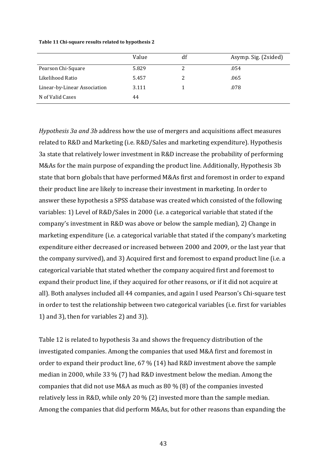#### Table 11 Chi-square results related to hypothesis 2

|                              | Value | df | Asymp. Sig. (2sided) |
|------------------------------|-------|----|----------------------|
| Pearson Chi-Square           | 5.829 |    | .054                 |
| Likelihood Ratio             | 5.457 |    | .065                 |
| Linear-by-Linear Association | 3.111 |    | .078                 |
| N of Valid Cases             | 44    |    |                      |

*Hypothesis 3a and 3b* address how the use of mergers and acquisitions affect measures related to R&D and Marketing (i.e. R&D/Sales and marketing expenditure). Hypothesis 3a state that relatively lower investment in R&D increase the probability of performing M&As for the main purpose of expanding the product line. Additionally, Hypothesis 3b state that born globals that have performed M&As first and foremost in order to expand their product line are likely to increase their investment in marketing. In order to answer these hypothesis a SPSS database was created which consisted of the following variables: 1) Level of R&D/Sales in 2000 (i.e. a categorical variable that stated if the company's investment in R&D was above or below the sample median), 2) Change in marketing expenditure (i.e. a categorical variable that stated if the company's marketing expenditure either decreased or increased between 2000 and 2009, or the last year that the company survived), and 3) Acquired first and foremost to expand product line (i.e. a categorical variable that stated whether the company acquired first and foremost to expand their product line, if they acquired for other reasons, or if it did not acquire at all). Both analyses included all 44 companies, and again I used Pearson's Chi-square test in order to test the relationship between two categorical variables (i.e. first for variables 1) and 3), then for variables  $2$ ) and  $3$ ).

Table 12 is related to hypothesis 3a and shows the frequency distribution of the investigated companies. Among the companies that used M&A first and foremost in order to expand their product line,  $67\%$  (14) had R&D investment above the sample median in 2000, while  $33\%$  (7) had R&D investment below the median. Among the companies that did not use M&A as much as 80 % (8) of the companies invested relatively less in R&D, while only 20 % (2) invested more than the sample median. Among the companies that did perform M&As, but for other reasons than expanding the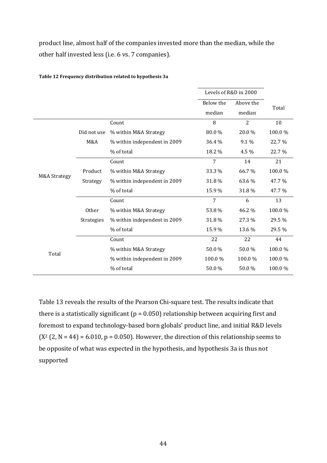product line, almost half of the companies invested more than the median, while the other half invested less (i.e. 6 vs. 7 companies).

|                         |              |                              | Levels of R&D in 2000 |                |        |
|-------------------------|--------------|------------------------------|-----------------------|----------------|--------|
|                         |              |                              | Below the             | Above the      | Total  |
|                         |              |                              | median                | median         |        |
|                         |              | Count                        | 8                     | $\overline{2}$ | 10     |
|                         | Did not use  | % within M&A Strategy        | 80.0%                 | 20.0%          | 100.0% |
|                         | M&A          | % within independent in 2009 | 36.4 %                | 9.1%           | 22.7 % |
|                         |              | % of total                   | 18.2 %                | 4.5 %          | 22.7 % |
|                         |              | Count                        | 7                     | 14             | 21     |
| <b>M&amp;A Strategy</b> | Product      | % within M&A Strategy        | 33.3 %                | 66.7%          | 100.0% |
|                         | Strategy     | % within independent in 2009 | 31.8 %                | 63.6 %         | 47.7 % |
|                         |              | % of total                   | 15.9%                 | 31.8%          | 47.7 % |
|                         |              | Count                        | 7                     | 6              | 13     |
|                         | <b>Other</b> | % within M&A Strategy        | 53.8%                 | 46.2 %         | 100.0% |
|                         | Strategies   | % within independent in 2009 | 31.8%                 | 27.3 %         | 29.5 % |
|                         |              | % of total                   | 15.9%                 | 13.6 %         | 29.5 % |
|                         |              | Count                        | 22                    | 22             | 44     |
| Total                   |              | % within M&A Strategy        | 50.0%                 | 50.0%          | 100.0% |
|                         |              | % within independent in 2009 | 100.0%                | 100.0%         | 100.0% |
|                         |              | % of total                   | 50.0%                 | 50.0%          | 100.0% |

**Table 12 Frequency distribution related to hypothesis 3a**

Table 13 reveals the results of the Pearson Chi-square test. The results indicate that there is a statistically significant ( $p = 0.050$ ) relationship between acquiring first and foremost to expand technology-based born globals' product line, and initial R&D levels  $(X<sup>2</sup> (2, N = 44) = 6.010, p = 0.050)$ . However, the direction of this relationship seems to be opposite of what was expected in the hypothesis, and hypothesis 3a is thus not supported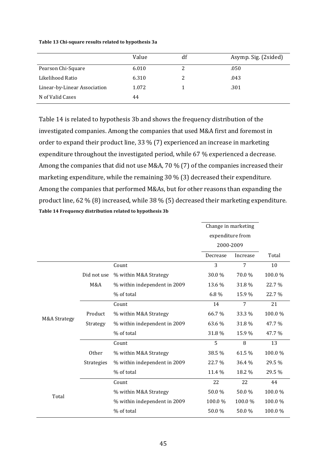#### **Table 13 Chi-square results related to hypothesis 3a**

|                              | Value | df | Asymp. Sig. (2sided) |
|------------------------------|-------|----|----------------------|
| Pearson Chi-Square           | 6.010 | 2  | .050                 |
| Likelihood Ratio             | 6.310 | 2  | .043                 |
| Linear-by-Linear Association | 1.072 |    | .301                 |
| N of Valid Cases             | 44    |    |                      |

Table 14 is related to hypothesis 3b and shows the frequency distribution of the investigated companies. Among the companies that used M&A first and foremost in order to expand their product line,  $33\%$  (7) experienced an increase in marketing expenditure throughout the investigated period, while  $67%$  experienced a decrease. Among the companies that did not use M&A, 70 % (7) of the companies increased their marketing expenditure, while the remaining  $30\%$  (3) decreased their expenditure. Among the companies that performed M&As, but for other reasons than expanding the product line, 62 % (8) increased, while  $38\%$  (5) decreased their marketing expenditure. **Table 14 Frequency distribution related to hypothesis 3b**

|              | Change in marketing |                              |                  |          |        |
|--------------|---------------------|------------------------------|------------------|----------|--------|
|              |                     |                              | expenditure from |          |        |
|              |                     |                              | 2000-2009        |          |        |
|              |                     |                              | Decrease         | Increase | Total  |
|              |                     | Count                        | 3                | 7        | 10     |
|              | Did not use         | % within M&A Strategy        | 30.0%            | 70.0%    | 100.0% |
|              | M&A                 | % within independent in 2009 | 13.6 %           | 31.8%    | 22.7%  |
|              |                     | % of total                   | 6.8%             | 15.9%    | 22.7%  |
|              |                     | Count                        | 14               | 7        | 21     |
| M&A Strategy | Product             | % within M&A Strategy        | 66.7%            | 33.3 %   | 100.0% |
|              | Strategy            | % within independent in 2009 | 63.6 %           | 31.8%    | 47.7 % |
|              |                     | % of total                   | 31.8%            | 15.9 %   | 47.7 % |
|              |                     | Count                        | 5                | 8        | 13     |
|              | <b>Other</b>        | % within M&A Strategy        | 38.5 %           | 61.5%    | 100.0% |
|              | <b>Strategies</b>   | % within independent in 2009 | 22.7%            | 36.4 %   | 29.5 % |
|              |                     | % of total                   | 11.4 %           | 18.2 %   | 29.5 % |
| Total        |                     | Count                        | 22               | 22       | 44     |
|              |                     | % within M&A Strategy        | 50.0%            | 50.0%    | 100.0% |
|              |                     | % within independent in 2009 | 100.0%           | 100.0%   | 100.0% |
|              |                     | % of total                   | 50.0%            | 50.0%    | 100.0% |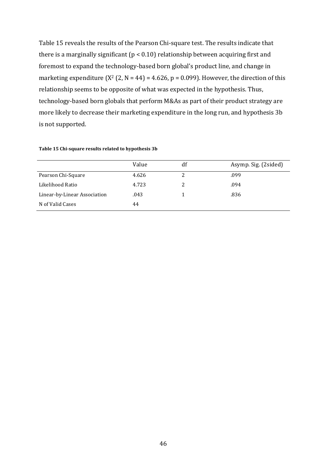Table 15 reveals the results of the Pearson Chi-square test. The results indicate that there is a marginally significant ( $p < 0.10$ ) relationship between acquiring first and foremost to expand the technology-based born global's product line, and change in marketing expenditure  $(X^2 (2, N = 44) = 4.626, p = 0.099)$ . However, the direction of this relationship seems to be opposite of what was expected in the hypothesis. Thus, technology-based born globals that perform M&As as part of their product strategy are more likely to decrease their marketing expenditure in the long run, and hypothesis 3b is not supported.

|                              | Value | df | Asymp. Sig. (2sided) |
|------------------------------|-------|----|----------------------|
| Pearson Chi-Square           | 4.626 | 2  | .099                 |
| Likelihood Ratio             | 4.723 |    | .094                 |
| Linear-by-Linear Association | .043  |    | .836                 |
| N of Valid Cases             | 44    |    |                      |

#### **Table 15 Chi-square results related to hypothesis 3b**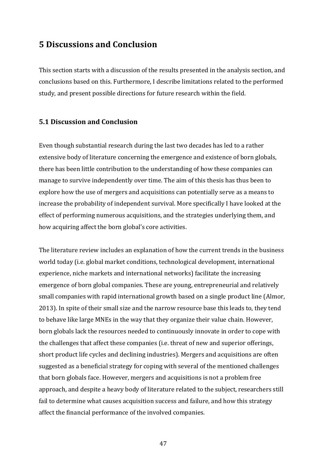# **5 Discussions and Conclusion**

This section starts with a discussion of the results presented in the analysis section, and conclusions based on this. Furthermore, I describe limitations related to the performed study, and present possible directions for future research within the field.

# **5.1 Discussion and Conclusion**

Even though substantial research during the last two decades has led to a rather extensive body of literature concerning the emergence and existence of born globals, there has been little contribution to the understanding of how these companies can manage to survive independently over time. The aim of this thesis has thus been to explore how the use of mergers and acquisitions can potentially serve as a means to increase the probability of independent survival. More specifically I have looked at the effect of performing numerous acquisitions, and the strategies underlying them, and how acquiring affect the born global's core activities.

The literature review includes an explanation of how the current trends in the business world today (i.e. global market conditions, technological development, international experience, niche markets and international networks) facilitate the increasing emergence of born global companies. These are young, entrepreneurial and relatively small companies with rapid international growth based on a single product line (Almor, 2013). In spite of their small size and the narrow resource base this leads to, they tend to behave like large MNEs in the way that they organize their value chain. However, born globals lack the resources needed to continuously innovate in order to cope with the challenges that affect these companies (i.e. threat of new and superior offerings, short product life cycles and declining industries). Mergers and acquisitions are often suggested as a beneficial strategy for coping with several of the mentioned challenges that born globals face. However, mergers and acquisitions is not a problem free approach, and despite a heavy body of literature related to the subject, researchers still fail to determine what causes acquisition success and failure, and how this strategy affect the financial performance of the involved companies.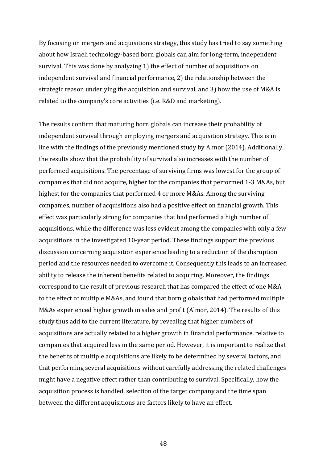By focusing on mergers and acquisitions strategy, this study has tried to say something about how Israeli technology-based born globals can aim for long-term, independent survival. This was done by analyzing 1) the effect of number of acquisitions on independent survival and financial performance, 2) the relationship between the strategic reason underlying the acquisition and survival, and 3) how the use of M&A is related to the company's core activities (i.e. R&D and marketing).

The results confirm that maturing born globals can increase their probability of independent survival through employing mergers and acquisition strategy. This is in line with the findings of the previously mentioned study by Almor (2014). Additionally, the results show that the probability of survival also increases with the number of performed acquisitions. The percentage of surviving firms was lowest for the group of companies that did not acquire, higher for the companies that performed 1-3 M&As, but highest for the companies that performed 4 or more M&As. Among the surviving companies, number of acquisitions also had a positive effect on financial growth. This effect was particularly strong for companies that had performed a high number of acquisitions, while the difference was less evident among the companies with only a few acquisitions in the investigated 10-year period. These findings support the previous discussion concerning acquisition experience leading to a reduction of the disruption period and the resources needed to overcome it. Consequently this leads to an increased ability to release the inherent benefits related to acquiring. Moreover, the findings correspond to the result of previous research that has compared the effect of one M&A to the effect of multiple M&As, and found that born globals that had performed multiple M&As experienced higher growth in sales and profit (Almor, 2014). The results of this study thus add to the current literature, by revealing that higher numbers of acquisitions are actually related to a higher growth in financial performance, relative to companies that acquired less in the same period. However, it is important to realize that the benefits of multiple acquisitions are likely to be determined by several factors, and that performing several acquisitions without carefully addressing the related challenges might have a negative effect rather than contributing to survival. Specifically, how the acquisition process is handled, selection of the target company and the time span between the different acquisitions are factors likely to have an effect.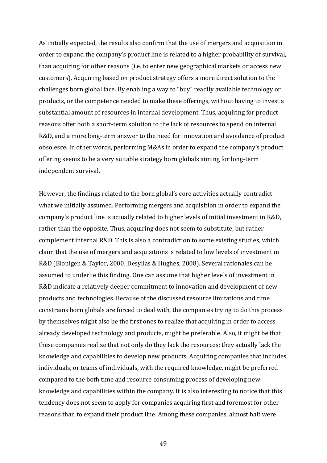As initially expected, the results also confirm that the use of mergers and acquisition in order to expand the company's product line is related to a higher probability of survival, than acquiring for other reasons (i.e. to enter new geographical markets or access new customers). Acquiring based on product strategy offers a more direct solution to the challenges born global face. By enabling a way to "buy" readily available technology or products, or the competence needed to make these offerings, without having to invest a substantial amount of resources in internal development. Thus, acquiring for product reasons offer both a short-term solution to the lack of resources to spend on internal R&D, and a more long-term answer to the need for innovation and avoidance of product obsolesce. In other words, performing M&As in order to expand the company's product offering seems to be a very suitable strategy born globals aiming for long-term independent survival.

However, the findings related to the born global's core activities actually contradict what we initially assumed. Performing mergers and acquisition in order to expand the company's product line is actually related to higher levels of initial investment in R&D, rather than the opposite. Thus, acquiring does not seem to substitute, but rather complement internal  $R&D$ . This is also a contradiction to some existing studies, which claim that the use of mergers and acquisitions is related to low levels of investment in R&D (Blonigen & Taylor, 2000; Desyllas & Hughes, 2008). Several rationales can be assumed to underlie this finding. One can assume that higher levels of investment in R&D indicate a relatively deeper commitment to innovation and development of new products and technologies. Because of the discussed resource limitations and time constrains born globals are forced to deal with, the companies trying to do this process by themselves might also be the first ones to realize that acquiring in order to access already developed technology and products, might be preferable. Also, it might be that these companies realize that not only do they lack the resources; they actually lack the knowledge and capabilities to develop new products. Acquiring companies that includes individuals, or teams of individuals, with the required knowledge, might be preferred compared to the both time and resource consuming process of developing new knowledge and capabilities within the company. It is also interesting to notice that this tendency does not seem to apply for companies acquiring first and foremost for other reasons than to expand their product line. Among these companies, almost half were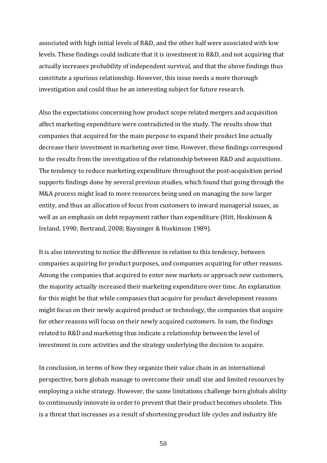associated with high initial levels of R&D, and the other half were associated with low levels. These findings could indicate that it is investment in R&D, and not acquiring that actually increases probability of independent survival, and that the above findings thus constitute a spurious relationship. However, this issue needs a more thorough investigation and could thus be an interesting subject for future research.

Also the expectations concerning how product scope related mergers and acquisition affect marketing expenditure were contradicted in the study. The results show that companies that acquired for the main purpose to expand their product line actually decrease their investment in marketing over time. However, these findings correspond to the results from the investigation of the relationship between R&D and acquisitions. The tendency to reduce marketing expenditure throughout the post-acquisition period supports findings done by several previous studies, which found that going through the M&A process might lead to more resources being used on managing the now larger entity, and thus an allocation of focus from customers to inward managerial issues, as well as an emphasis on debt repayment rather than expenditure (Hitt, Hoskinson  $&$ Ireland, 1990; Bertrand, 2008; Baysinger & Hoskinson 1989).

It is also interesting to notice the difference in relation to this tendency, between companies acquiring for product purposes, and companies acquiring for other reasons. Among the companies that acquired to enter new markets or approach new customers, the majority actually increased their marketing expenditure over time. An explanation for this might be that while companies that acquire for product development reasons might focus on their newly acquired product or technology, the companies that acquire for other reasons will focus on their newly acquired customers. In sum, the findings related to R&D and marketing thus indicate a relationship between the level of investment in core activities and the strategy underlying the decision to acquire.

In conclusion, in terms of how they organize their value chain in an international perspective, born globals manage to overcome their small size and limited resources by employing a niche strategy. However, the same limitations challenge born globals ability to continuously innovate in order to prevent that their product becomes obsolete. This is a threat that increases as a result of shortening product life cycles and industry life

50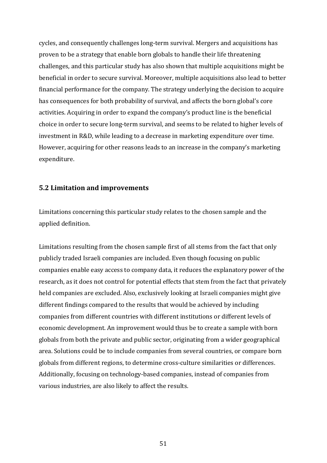cycles, and consequently challenges long-term survival. Mergers and acquisitions has proven to be a strategy that enable born globals to handle their life threatening challenges, and this particular study has also shown that multiple acquisitions might be beneficial in order to secure survival. Moreover, multiple acquisitions also lead to better financial performance for the company. The strategy underlying the decision to acquire has consequences for both probability of survival, and affects the born global's core activities. Acquiring in order to expand the company's product line is the beneficial choice in order to secure long-term survival, and seems to be related to higher levels of investment in R&D, while leading to a decrease in marketing expenditure over time. However, acquiring for other reasons leads to an increase in the company's marketing expenditure.

## **5.2 Limitation and improvements**

Limitations concerning this particular study relates to the chosen sample and the applied definition.

Limitations resulting from the chosen sample first of all stems from the fact that only publicly traded Israeli companies are included. Even though focusing on public companies enable easy access to company data, it reduces the explanatory power of the research, as it does not control for potential effects that stem from the fact that privately held companies are excluded. Also, exclusively looking at Israeli companies might give different findings compared to the results that would be achieved by including companies from different countries with different institutions or different levels of economic development. An improvement would thus be to create a sample with born globals from both the private and public sector, originating from a wider geographical area. Solutions could be to include companies from several countries, or compare born globals from different regions, to determine cross-culture similarities or differences. Additionally, focusing on technology-based companies, instead of companies from various industries, are also likely to affect the results.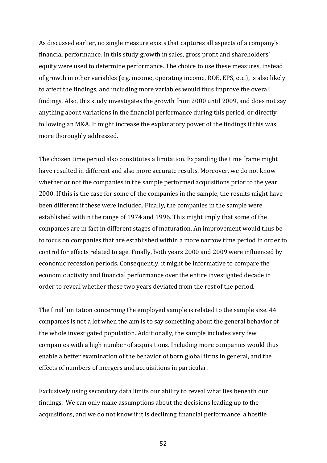As discussed earlier, no single measure exists that captures all aspects of a company's financial performance. In this study growth in sales, gross profit and shareholders' equity were used to determine performance. The choice to use these measures, instead of growth in other variables (e.g. income, operating income, ROE, EPS, etc.), is also likely to affect the findings, and including more variables would thus improve the overall findings. Also, this study investigates the growth from 2000 until 2009, and does not say anything about variations in the financial performance during this period, or directly following an M&A. It might increase the explanatory power of the findings if this was more thoroughly addressed.

The chosen time period also constitutes a limitation. Expanding the time frame might have resulted in different and also more accurate results. Moreover, we do not know whether or not the companies in the sample performed acquisitions prior to the year 2000. If this is the case for some of the companies in the sample, the results might have been different if these were included. Finally, the companies in the sample were established within the range of 1974 and 1996. This might imply that some of the companies are in fact in different stages of maturation. An improvement would thus be to focus on companies that are established within a more narrow time period in order to control for effects related to age. Finally, both years 2000 and 2009 were influenced by economic recession periods. Consequently, it might be informative to compare the economic activity and financial performance over the entire investigated decade in order to reveal whether these two years deviated from the rest of the period.

The final limitation concerning the employed sample is related to the sample size. 44 companies is not a lot when the aim is to say something about the general behavior of the whole investigated population. Additionally, the sample includes very few companies with a high number of acquisitions. Including more companies would thus enable a better examination of the behavior of born global firms in general, and the effects of numbers of mergers and acquisitions in particular.

Exclusively using secondary data limits our ability to reveal what lies beneath our findings. We can only make assumptions about the decisions leading up to the acquisitions, and we do not know if it is declining financial performance, a hostile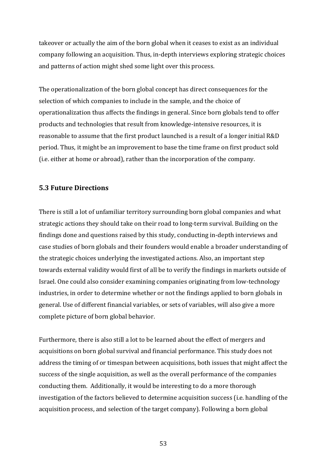takeover or actually the aim of the born global when it ceases to exist as an individual company following an acquisition. Thus, in-depth interviews exploring strategic choices and patterns of action might shed some light over this process.

The operationalization of the born global concept has direct consequences for the selection of which companies to include in the sample, and the choice of operationalization thus affects the findings in general. Since born globals tend to offer products and technologies that result from knowledge-intensive resources, it is reasonable to assume that the first product launched is a result of a longer initial R&D period. Thus, it might be an improvement to base the time frame on first product sold (i.e. either at home or abroad), rather than the incorporation of the company.

# **5.3 Future Directions**

There is still a lot of unfamiliar territory surrounding born global companies and what strategic actions they should take on their road to long-term survival. Building on the findings done and questions raised by this study, conducting in-depth interviews and case studies of born globals and their founders would enable a broader understanding of the strategic choices underlying the investigated actions. Also, an important step towards external validity would first of all be to verify the findings in markets outside of Israel. One could also consider examining companies originating from low-technology industries, in order to determine whether or not the findings applied to born globals in general. Use of different financial variables, or sets of variables, will also give a more complete picture of born global behavior.

Furthermore, there is also still a lot to be learned about the effect of mergers and acquisitions on born global survival and financial performance. This study does not address the timing of or timespan between acquisitions, both issues that might affect the success of the single acquisition, as well as the overall performance of the companies conducting them. Additionally, it would be interesting to do a more thorough investigation of the factors believed to determine acquisition success (i.e. handling of the acquisition process, and selection of the target company). Following a born global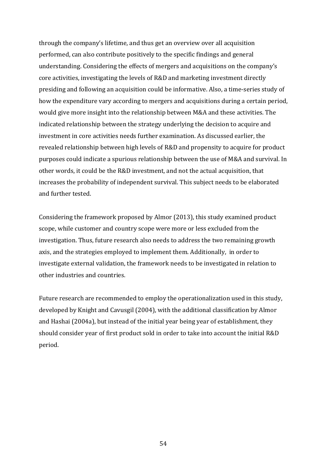through the company's lifetime, and thus get an overview over all acquisition performed, can also contribute positively to the specific findings and general understanding. Considering the effects of mergers and acquisitions on the company's core activities, investigating the levels of R&D and marketing investment directly presiding and following an acquisition could be informative. Also, a time-series study of how the expenditure vary according to mergers and acquisitions during a certain period, would give more insight into the relationship between M&A and these activities. The indicated relationship between the strategy underlying the decision to acquire and investment in core activities needs further examination. As discussed earlier, the revealed relationship between high levels of R&D and propensity to acquire for product purposes could indicate a spurious relationship between the use of M&A and survival. In other words, it could be the R&D investment, and not the actual acquisition, that increases the probability of independent survival. This subject needs to be elaborated and further tested.

Considering the framework proposed by Almor (2013), this study examined product scope, while customer and country scope were more or less excluded from the investigation. Thus, future research also needs to address the two remaining growth axis, and the strategies employed to implement them. Additionally, in order to investigate external validation, the framework needs to be investigated in relation to other industries and countries.

Future research are recommended to employ the operationalization used in this study, developed by Knight and Cavusgil (2004), with the additional classification by Almor and Hashai (2004a), but instead of the initial year being year of establishment, they should consider year of first product sold in order to take into account the initial R&D period.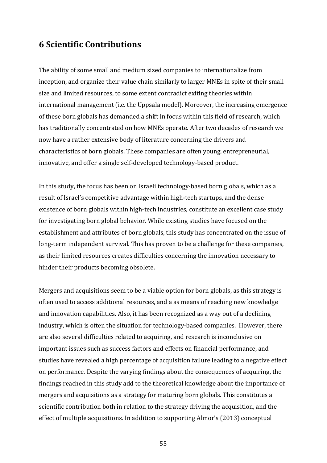# **6 Scientific Contributions**

The ability of some small and medium sized companies to internationalize from inception, and organize their value chain similarly to larger MNEs in spite of their small size and limited resources, to some extent contradict exiting theories within international management (i.e. the Uppsala model). Moreover, the increasing emergence of these born globals has demanded a shift in focus within this field of research, which has traditionally concentrated on how MNEs operate. After two decades of research we now have a rather extensive body of literature concerning the drivers and characteristics of born globals. These companies are often young, entrepreneurial, innovative, and offer a single self-developed technology-based product.

In this study, the focus has been on Israeli technology-based born globals, which as a result of Israel's competitive advantage within high-tech startups, and the dense existence of born globals within high-tech industries, constitute an excellent case study for investigating born global behavior. While existing studies have focused on the establishment and attributes of born globals, this study has concentrated on the issue of long-term independent survival. This has proven to be a challenge for these companies, as their limited resources creates difficulties concerning the innovation necessary to hinder their products becoming obsolete.

Mergers and acquisitions seem to be a viable option for born globals, as this strategy is often used to access additional resources, and a as means of reaching new knowledge and innovation capabilities. Also, it has been recognized as a way out of a declining industry, which is often the situation for technology-based companies. However, there are also several difficulties related to acquiring, and research is inconclusive on important issues such as success factors and effects on financial performance, and studies have revealed a high percentage of acquisition failure leading to a negative effect on performance. Despite the varying findings about the consequences of acquiring, the findings reached in this study add to the theoretical knowledge about the importance of mergers and acquisitions as a strategy for maturing born globals. This constitutes a scientific contribution both in relation to the strategy driving the acquisition, and the effect of multiple acquisitions. In addition to supporting Almor's (2013) conceptual

55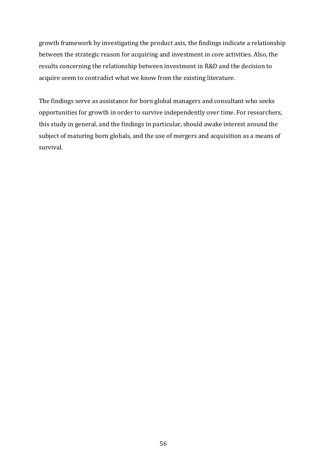growth framework by investigating the product axis, the findings indicate a relationship between the strategic reason for acquiring and investment in core activities. Also, the results concerning the relationship between investment in R&D and the decision to acquire seem to contradict what we know from the existing literature.

The findings serve as assistance for born global managers and consultant who seeks opportunities for growth in order to survive independently over time. For researchers, this study in general, and the findings in particular, should awake interest around the subject of maturing born globals, and the use of mergers and acquisition as a means of survival.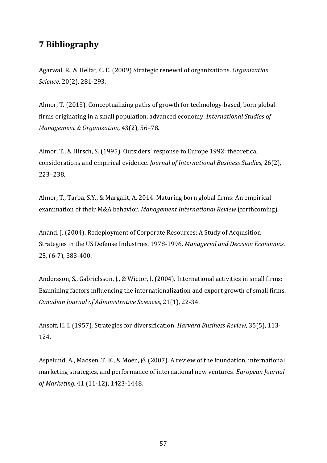# **7 Bibliography**

Agarwal, R., & Helfat, C. E. (2009) Strategic renewal of organizations. *Organization Science,* 20(2), 281-293.

Almor, T. (2013). Conceptualizing paths of growth for technology-based, born global firms originating in a small population, advanced economy. *International Studies of Management & Organization,* 43(2), 56-78.

Almor, T., & Hirsch, S. (1995). Outsiders' response to Europe 1992: theoretical considerations and empirical evidence. *Journal of International Business Studies*, 26(2), 223–238.

Almor, T., Tarba, S.Y., & Margalit, A. 2014. Maturing born global firms: An empirical examination of their M&A behavior. *Management International Review* (forthcoming).

Anand, J. (2004). Redeployment of Corporate Resources: A Study of Acquisition Strategies in the US Defense Industries, 1978-1996. *Managerial and Decision Economics*, 25, (6-7), 383-400.

Andersson, S., Gabrielsson, J., & Wictor, I. (2004). International activities in small firms: Examining factors influencing the internationalization and export growth of small firms. *Canadian Journal of Administrative Sciences*, 21(1), 22-34.

Ansoff, H. I. (1957). Strategies for diversification. *Harvard Business Review*, 35(5), 113-124.

Aspelund, A., Madsen, T. K., & Moen, Ø. (2007). A review of the foundation, international marketing strategies, and performance of international new ventures. *European Journal of Marketing.* 41 (11-12), 1423-1448.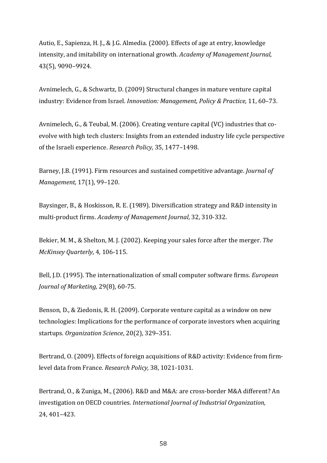Autio, E., Sapienza, H. J., & J.G. Almedia. (2000). Effects of age at entry, knowledge intensity, and imitability on international growth. *Academy of Management Journal*, 43(5), 9090–9924.

Avnimelech, G., & Schwartz, D. (2009) Structural changes in mature venture capital industry: Evidence from Israel. *Innovation: Management. Policy & Practice*, 11, 60–73.

Avnimelech, G., & Teubal, M. (2006). Creating venture capital (VC) industries that coevolve with high tech clusters: Insights from an extended industry life cycle perspective of the Israeli experience. *Research Policy*, 35, 1477-1498.

Barney, J.B. (1991). Firm resources and sustained competitive advantage. *Journal of Management,* 17(1), 99-120.

Baysinger, B., & Hoskisson, R. E. (1989). Diversification strategy and R&D intensity in multi-product firms. *Academy of Management Journal*, 32, 310-332.

Bekier, M. M., & Shelton, M. J. (2002). Keeping your sales force after the merger. *The McKinsey Quarterly*, 4, 106-115.

Bell, J.D. (1995). The internationalization of small computer software firms. *European Journal of Marketing,* 29(8), 60-75.

Benson, D., & Ziedonis, R. H. (2009). Corporate venture capital as a window on new technologies: Implications for the performance of corporate investors when acquiring startups. Organization Science, 20(2), 329-351.

Bertrand, O. (2009). Effects of foreign acquisitions of R&D activity: Evidence from firmlevel data from France. *Research Policy*, 38, 1021-1031.

Bertrand, O., & Zuniga, M., (2006). R&D and M&A: are cross-border M&A different? An investigation on OECD countries. *International Journal of Industrial Organization*, 24, 401–423.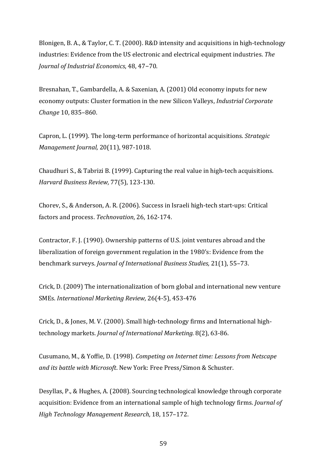Blonigen, B. A., & Taylor, C. T. (2000). R&D intensity and acquisitions in high-technology industries: Evidence from the US electronic and electrical equipment industries. The *Journal of Industrial Economics*, 48, 47-70.

Bresnahan, T., Gambardella, A. & Saxenian, A. (2001) Old economy inputs for new economy outputs: Cluster formation in the new Silicon Valleys, *Industrial Corporate Change* 10, 835–860.

Capron, L. (1999). The long-term performance of horizontal acquisitions. *Strategic Management Journal,* 20(11), 987-1018.

Chaudhuri S., & Tabrizi B. (1999). Capturing the real value in high-tech acquisitions. *Harvard Business Review,* 77(5), 123-130.

Chorev, S., & Anderson, A. R. (2006). Success in Israeli high-tech start-ups: Critical factors and process. Technovation, 26, 162-174.

Contractor, F. J. (1990). Ownership patterns of U.S. joint ventures abroad and the liberalization of foreign government regulation in the 1980's: Evidence from the benchmark surveys. *Journal of International Business Studies*, 21(1), 55-73.

Crick, D.  $(2009)$  The internationalization of born global and international new venture SMEs. *International Marketing Review,* 26(4-5), 453-476

Crick, D., & Jones, M. V. (2000). Small high-technology firms and International hightechnology markets. *Journal of International Marketing.* 8(2), 63-86.

Cusumano, M., & Yoffie, D. (1998). *Competing on Internet time: Lessons from Netscape and its battle with Microsoft*. New York: Free Press/Simon & Schuster.

Desyllas, P., & Hughes, A. (2008). Sourcing technological knowledge through corporate acquisition: Evidence from an international sample of high technology firms. *Journal of High Technology Management Research*, 18, 157–172.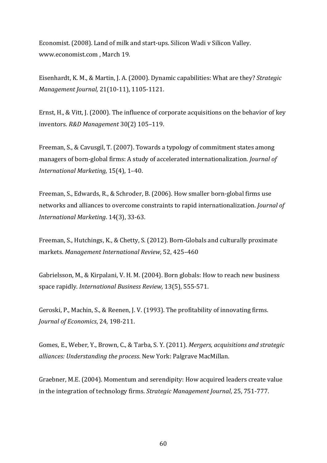Economist. (2008). Land of milk and start-ups. Silicon Wadi v Silicon Valley. www.economist.com, March 19.

Eisenhardt, K. M., & Martin, J. A. (2000). Dynamic capabilities: What are they? *Strategic Management Journal,* 21(10-11), 1105-1121.

Ernst, H., & Vitt, J. (2000). The influence of corporate acquisitions on the behavior of key inventors. *R&D Management* 30(2) 105–119.

Freeman, S., & Cavusgil, T. (2007). Towards a typology of commitment states among managers of born-global firms: A study of accelerated internationalization. *Journal of International Marketing,* 15(4), 1-40.

Freeman, S., Edwards, R., & Schroder, B. (2006). How smaller born-global firms use networks and alliances to overcome constraints to rapid internationalization. *Journal of International Marketing*. 14(3), 33-63.

Freeman, S., Hutchings, K., & Chetty, S. (2012). Born-Globals and culturally proximate markets. Management International Review, 52, 425-460

Gabrielsson, M., & Kirpalani, V. H. M. (2004). Born globals: How to reach new business space rapidly. *International Business Review*, 13(5), 555-571.

Geroski, P., Machin, S., & Reenen, J. V. (1993). The profitability of innovating firms. *Journal of Economics*, 24, 198-211.

Gomes, E., Weber, Y., Brown, C., & Tarba, S. Y. (2011). *Mergers, acquisitions and strategic alliances: Understanding the process.* New York: Palgrave MacMillan.

Graebner, M.E. (2004). Momentum and serendipity: How acquired leaders create value in the integration of technology firms. *Strategic Management Journal*, 25, 751-777.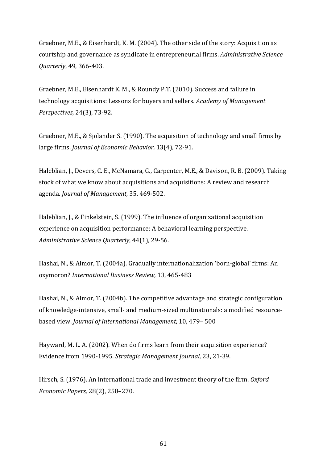Graebner, M.E., & Eisenhardt, K. M. (2004). The other side of the story: Acquisition as courtship and governance as syndicate in entrepreneurial firms. Administrative Science *Quarterly*, 49, 366-403.

Graebner, M.E., Eisenhardt K. M., & Roundy P.T. (2010). Success and failure in technology acquisitions: Lessons for buyers and sellers. *Academy of Management Perspectives,* 24(3), 73-92.

Graebner, M.E., & Sjolander S. (1990). The acquisition of technology and small firms by large firms. *Journal of Economic Behavior*, 13(4), 72-91.

Haleblian, J., Devers, C. E., McNamara, G., Carpenter, M.E., & Davison, R. B. (2009). Taking stock of what we know about acquisitions and acquisitions: A review and research agenda. *Journal of Management*, 35, 469-502.

Haleblian, J., & Finkelstein, S. (1999). The influence of organizational acquisition experience on acquisition performance: A behavioral learning perspective. Administrative Science Quarterly, 44(1), 29-56.

Hashai, N., & Almor, T. (2004a). Gradually internationalization 'born-global' firms: An oxymoron? *International Business Review,* 13, 465-483

Hashai, N., & Almor, T. (2004b). The competitive advantage and strategic configuration of knowledge-intensive, small- and medium-sized multinationals: a modified resourcebased view. Journal of International Management, 10, 479- 500

Hayward, M. L. A. (2002). When do firms learn from their acquisition experience? Evidence from 1990-1995. *Strategic Management Journal*, 23, 21-39.

Hirsch, S. (1976). An international trade and investment theory of the firm. Oxford *Economic Papers,* 28(2), 258–270.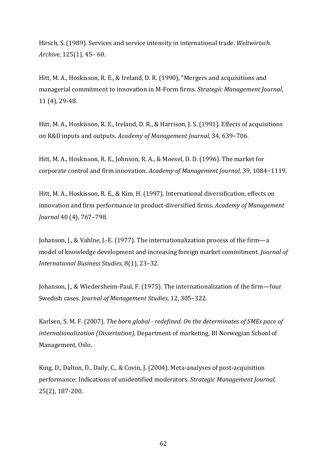Hirsch, S. (1989). Services and service intensity in international trade. Weltwirtsch. *Archive*, 125(1), 45-60.

Hitt, M. A., Hoskisson, R. E., & Ireland, D. R. (1990), "Mergers and acquisitions and managerial commitment to innovation in M-Form firms. *Strategic Management Journal*, 11 (4), 29-48.

Hitt, M. A., Hoskisson, R. E., Ireland, D. R., & Harrison, J. S. (1991). Effects of acquisitions on R&D inputs and outputs. *Academy of Management Journal*, 34, 639–706.

Hitt, M. A., Hoskisson, R. E., Johnson, R. A., & Moesel, D. D. (1996). The market for corporate control and firm innovation. *Academy of Management Journal*, 39, 1084-1119.

Hitt, M. A., Hoskisson, R. E., & Kim, H. (1997). International diversification, effects on innovation and firm performance in product-diversified firms. *Academy of Management Journal* 40 (4), 767-798.

Johanson, J., & Vahlne, J.-E. (1977). The internationalization process of the firm—a model of knowledge development and increasing foreign market commitment. *Journal of International Business Studies*, 8(1), 23–32.

Johanson, I., & Wiedersheim-Paul, F. (1975). The internationalization of the firm—four Swedish cases. *Journal of Management Studies*, 12, 305-322.

Karlsen, S. M. F. (2007). *The born global - redefined. On the determinates of SMEs pace of internationalization (Dissertation),* Department of marketing, BI Norwegian School of Management, Oslo.

King, D., Dalton, D., Daily, C., & Covin, J. (2004). Meta-analyses of post-acquisition performance: Indications of unidentified moderators. *Strategic Management Journal*, 25(2), 187-200.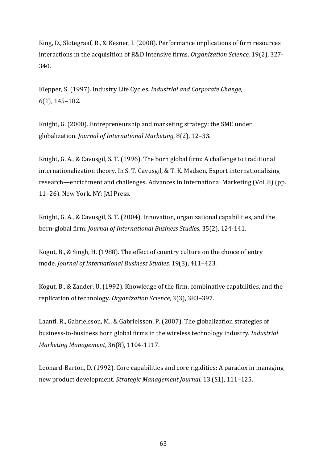King, D., Slotegraaf, R., & Kesner, I. (2008). Performance implications of firm resources interactions in the acquisition of R&D intensive firms. *Organization Science*, 19(2), 327-340.

Klepper, S. (1997). Industry Life Cycles. *Industrial and Corporate Change*, 6(1), 145–182.

Knight, G. (2000). Entrepreneurship and marketing strategy: the SME under globalization. *Journal of International Marketing*, 8(2), 12–33.

Knight, G. A., & Cavusgil, S. T. (1996). The born global firm: A challenge to traditional internationalization theory. In S. T. Cavusgil, & T. K. Madsen, Export internationalizing research—enrichment and challenges. Advances in International Marketing (Vol. 8) (pp. 11-26). New York, NY: JAI Press.

Knight, G. A., & Cavusgil, S. T. (2004). Innovation, organizational capabilities, and the born-global firm. *Journal of International Business Studies*, 35(2), 124-141.

Kogut, B., & Singh, H. (1988). The effect of country culture on the choice of entry mode. *Journal of International Business Studies*, 19(3), 411-423.

Kogut, B., & Zander, U. (1992). Knowledge of the firm, combinative capabilities, and the replication of technology. *Organization Science*, 3(3), 383-397.

Laanti, R., Gabrielsson, M., & Gabrielsson, P. (2007). The globalization strategies of business-to-business born global firms in the wireless technology industry. *Industrial Marketing Management,* 36(8), 1104-1117.

Leonard-Barton, D. (1992). Core capabilities and core rigidities: A paradox in managing new product development. *Strategic Management Journal*, 13 (S1), 111-125.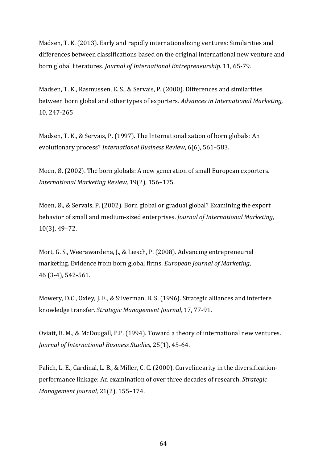Madsen, T. K. (2013). Early and rapidly internationalizing ventures: Similarities and differences between classifications based on the original international new venture and born global literatures. *Journal of International Entrepreneurship*. 11, 65-79.

Madsen, T. K., Rasmussen, E. S., & Servais, P. (2000). Differences and similarities between born global and other types of exporters. *Advances in International Marketing*, 10, 247-265

Madsen, T. K., & Servais, P. (1997). The Internationalization of born globals: An evolutionary process? *International Business Review*, 6(6), 561–583.

Moen,  $\emptyset$ . (2002). The born globals: A new generation of small European exporters. *International Marketing Review,* 19(2), 156–175.

Moen,  $\emptyset$ ., & Servais, P. (2002). Born global or gradual global? Examining the export behavior of small and medium-sized enterprises. *Journal of International Marketing*,  $10(3)$ , 49-72.

Mort, G. S., Weerawardena, J., & Liesch, P. (2008). Advancing entrepreneurial marketing. Evidence from born global firms. *European Journal of Marketing*, 46 (3-4), 542-561.

Mowery, D.C., Oxley, J. E., & Silverman, B. S. (1996). Strategic alliances and interfere knowledge transfer. *Strategic Management Journal*, 17, 77-91.

Oviatt, B. M., & McDougall, P.P. (1994). Toward a theory of international new ventures. *Journal of International Business Studies,* 25(1), 45-64.

Palich, L. E., Cardinal, L. B., & Miller, C. C. (2000). Curvelinearity in the diversificationperformance linkage: An examination of over three decades of research. Strategic *Management Journal,* 21(2), 155-174.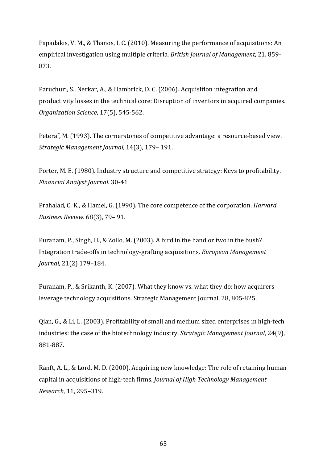Papadakis, V. M., & Thanos, I. C. (2010). Measuring the performance of acquisitions: An empirical investigation using multiple criteria. *British Journal of Management*, 21.859-873.

Paruchuri, S., Nerkar, A., & Hambrick, D. C. (2006). Acquisition integration and productivity losses in the technical core: Disruption of inventors in acquired companies. *Organization Science*, 17(5), 545-562.

Peteraf, M. (1993). The cornerstones of competitive advantage: a resource-based view. *Strategic Management Journal*, 14(3), 179– 191.

Porter, M. E. (1980). Industry structure and competitive strategy: Keys to profitability. *Financial Analyst Journal*. 30-41

Prahalad, C. K., & Hamel, G. (1990). The core competence of the corporation. *Harvard Business Review*. 68(3), 79– 91.

Puranam, P., Singh, H., & Zollo, M. (2003). A bird in the hand or two in the bush? Integration trade-offs in technology-grafting acquisitions. *European Management Journal*, 21(2) 179-184.

Puranam, P., & Srikanth, K. (2007). What they know vs. what they do: how acquirers leverage technology acquisitions. Strategic Management Journal, 28, 805-825.

Qian, G., & Li, L. (2003). Profitability of small and medium sized enterprises in high-tech industries: the case of the biotechnology industry. *Strategic Management Journal*, 24(9), 881-887.

Ranft, A. L., & Lord, M. D. (2000). Acquiring new knowledge: The role of retaining human capital in acquisitions of high-tech firms. *Journal of High Technology Management Research*, 11, 295–319.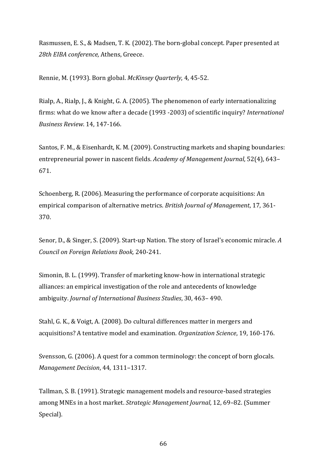Rasmussen, E. S., & Madsen, T. K. (2002). The born-global concept. Paper presented at 28th EIBA conference, Athens, Greece.

Rennie, M. (1993). Born global. *McKinsey Quarterly*, 4, 45-52.

Rialp, A., Rialp, J., & Knight, G. A. (2005). The phenomenon of early internationalizing firms: what do we know after a decade (1993 -2003) of scientific inquiry? *International Business Review*. 14, 147-166.

Santos, F. M., & Eisenhardt, K. M. (2009). Constructing markets and shaping boundaries: entrepreneurial power in nascent fields. *Academy of Management Journal*, 52(4), 643– 671.

Schoenberg, R. (2006). Measuring the performance of corporate acquisitions: An empirical comparison of alternative metrics. *British Journal of Management*, 17, 361-370.

Senor, D., & Singer, S. (2009). Start-up Nation. The story of Israel's economic miracle. A *Council on Foreign Relations Book,* 240-241.

Simonin, B. L. (1999). Transfer of marketing know-how in international strategic alliances: an empirical investigation of the role and antecedents of knowledge ambiguity. *Journal of International Business Studies*, 30, 463-490.

Stahl, G. K., & Voigt, A. (2008). Do cultural differences matter in mergers and acquisitions? A tentative model and examination. *Organization Science*, 19, 160-176.

Svensson, G. (2006). A quest for a common terminology: the concept of born glocals. *Management Decision,* 44, 1311-1317.

Tallman, S. B. (1991). Strategic management models and resource-based strategies among MNEs in a host market. *Strategic Management Journal*, 12, 69-82. (Summer Special).